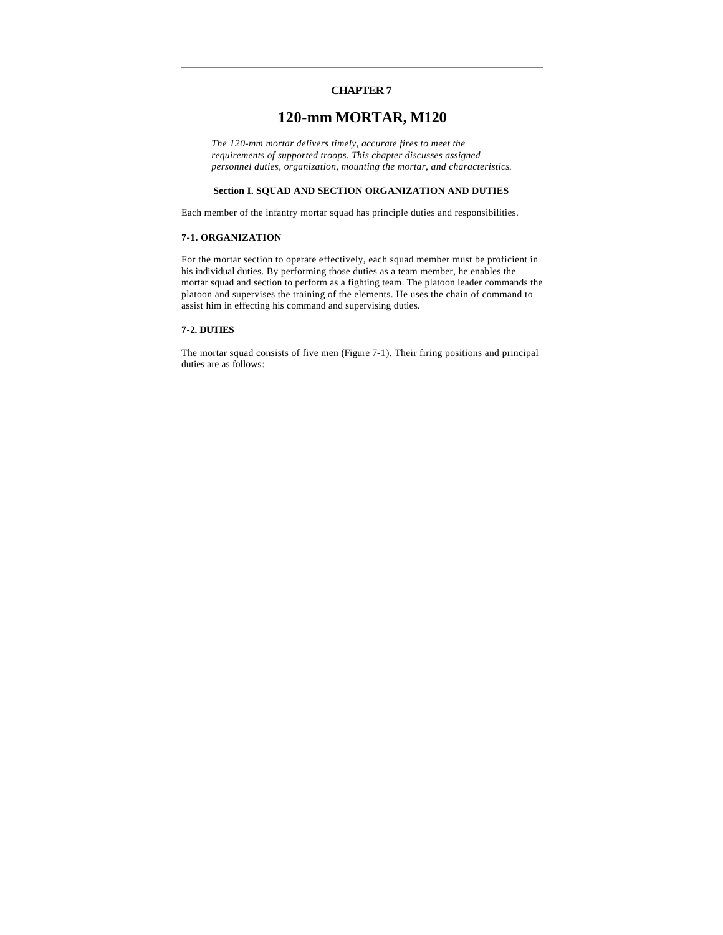## **CHAPTER 7**

# **120-mm MORTAR, M120**

*The 120-mm mortar delivers timely, accurate fires to meet the requirements of supported troops. This chapter discusses assigned personnel duties, organization, mounting the mortar, and characteristics*.

## **Section I. SQUAD AND SECTION ORGANIZATION AND DUTIES**

Each member of the infantry mortar squad has principle duties and responsibilities.

## **7-1. ORGANIZATION**

For the mortar section to operate effectively, each squad member must be proficient in his individual duties. By performing those duties as a team member, he enables the mortar squad and section to perform as a fighting team. The platoon leader commands the platoon and supervises the training of the elements. He uses the chain of command to assist him in effecting his command and supervising duties.

## **7-2. DUTIES**

The mortar squad consists of five men (Figure 7-1). Their firing positions and principal duties are as follows: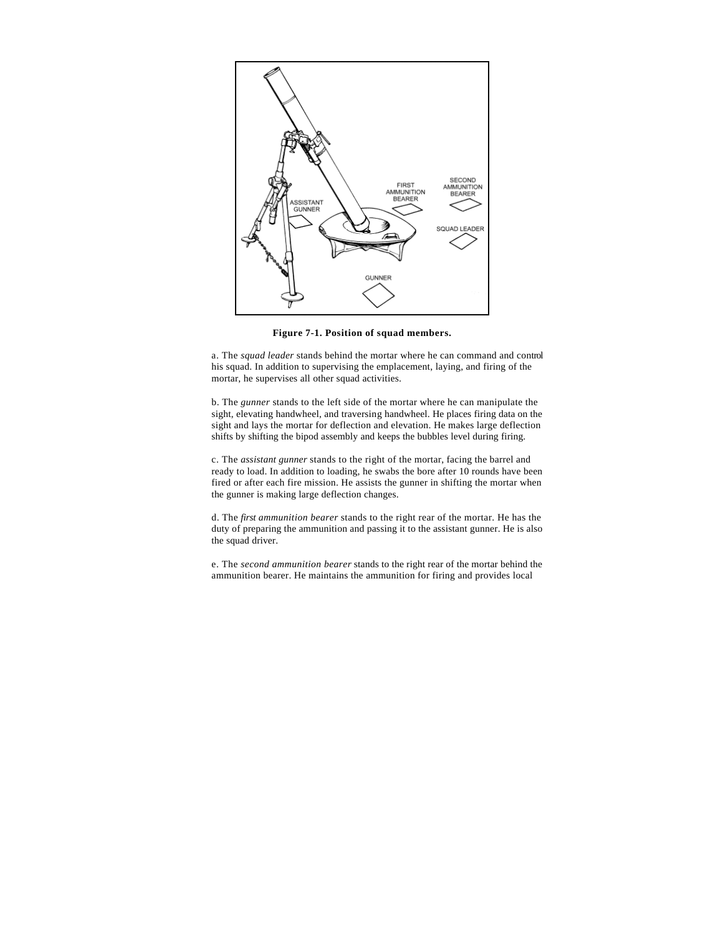

**Figure 7-1. Position of squad members.**

a. The *squad leader* stands behind the mortar where he can command and control his squad. In addition to supervising the emplacement, laying, and firing of the mortar, he supervises all other squad activities.

b. The *gunner* stands to the left side of the mortar where he can manipulate the sight, elevating handwheel, and traversing handwheel. He places firing data on the sight and lays the mortar for deflection and elevation. He makes large deflection shifts by shifting the bipod assembly and keeps the bubbles level during firing.

c. The *assistant gunner* stands to the right of the mortar, facing the barrel and ready to load. In addition to loading, he swabs the bore after 10 rounds have been fired or after each fire mission. He assists the gunner in shifting the mortar when the gunner is making large deflection changes.

d. The *first ammunition bearer* stands to the right rear of the mortar. He has the duty of preparing the ammunition and passing it to the assistant gunner. He is also the squad driver.

e. The *second ammunition bearer* stands to the right rear of the mortar behind the ammunition bearer. He maintains the ammunition for firing and provides local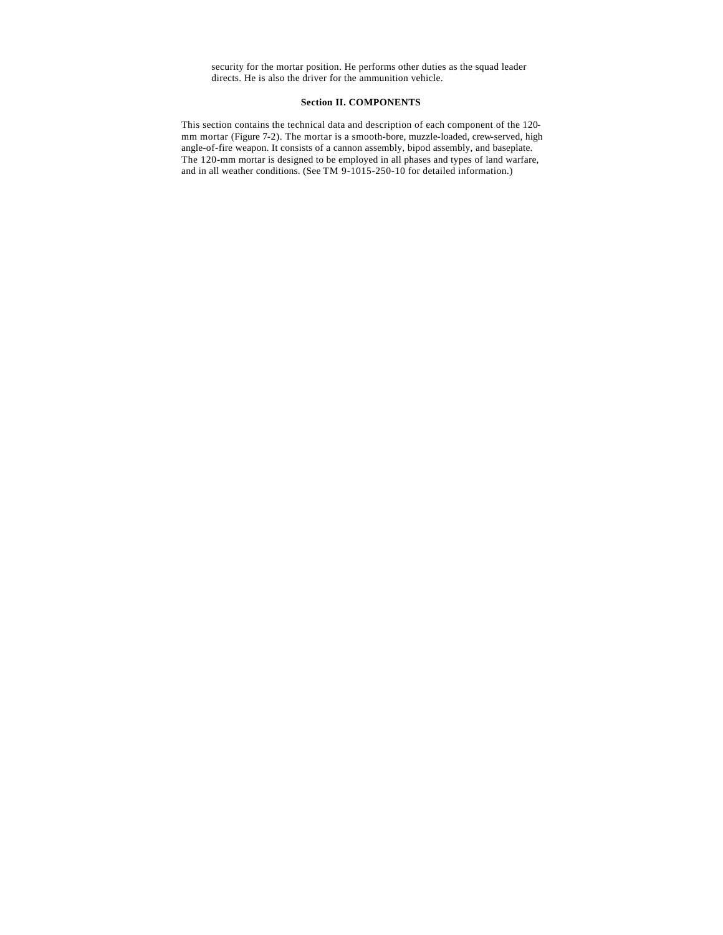security for the mortar position. He performs other duties as the squad leader directs. He is also the driver for the ammunition vehicle.

## **Section II. COMPONENTS**

This section contains the technical data and description of each component of the 120 mm mortar (Figure 7-2). The mortar is a smooth-bore, muzzle-loaded, crew-served, high angle-of-fire weapon. It consists of a cannon assembly, bipod assembly, and baseplate. The 120-mm mortar is designed to be employed in all phases and types of land warfare, and in all weather conditions. (See TM 9-1015-250-10 for detailed information.)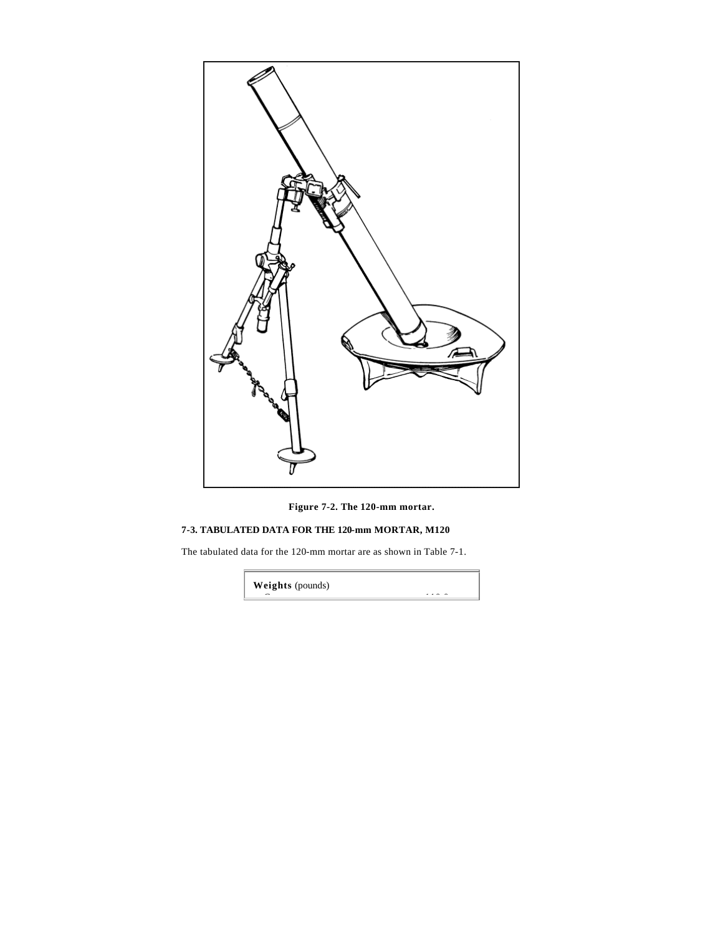

**Figure 7-2. The 120-mm mortar.**

# **7-3. TABULATED DATA FOR THE 120-mm MORTAR, M120**

The tabulated data for the 120-mm mortar are as shown in Table 7-1.

**Weights** (pounds)

<u>Cannon 110.000 (110.000 (110.000 (110.000 (110.000 (110.000 (110.000 (110.000 (110.000 (110.000 (110.000 (110.000 (</u>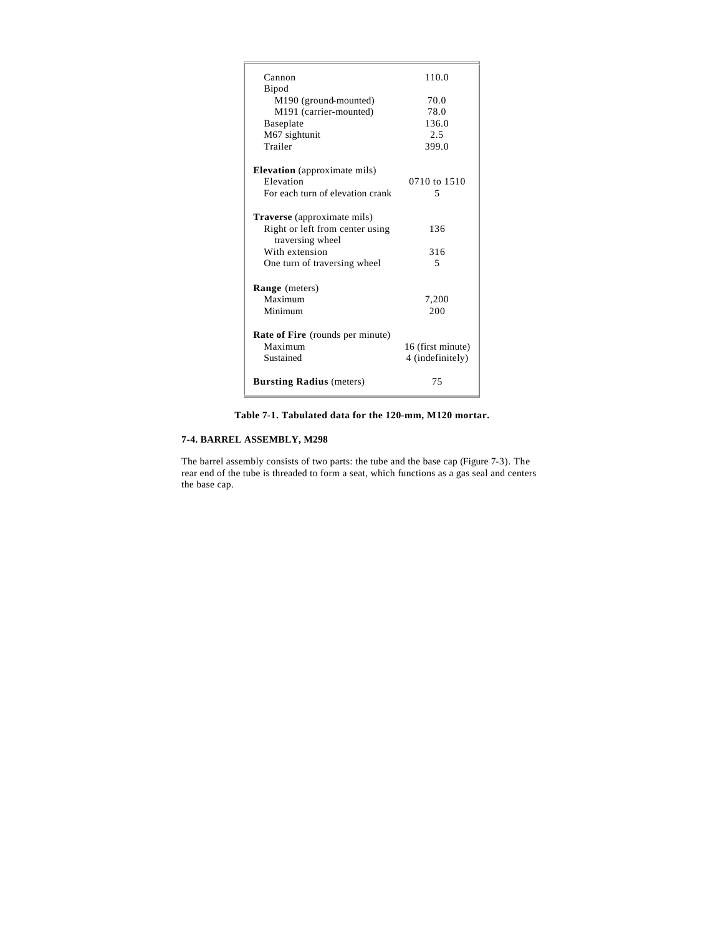| Cannon                                  | 110.0             |
|-----------------------------------------|-------------------|
| Bipod                                   |                   |
| M190 (ground-mounted)                   | 70.0              |
| M191 (carrier-mounted)                  | 78.0              |
| Baseplate                               | 136.0             |
| M67 sightunit                           | 2.5               |
| Trailer                                 | 399.0             |
| <b>Elevation</b> (approximate mils)     |                   |
| Elevation                               | 0710 to 1510      |
| For each turn of elevation crank        | 5                 |
| <b>Traverse</b> (approximate mils)      |                   |
| Right or left from center using         | 136               |
| traversing wheel                        |                   |
| With extension                          | 316               |
| One turn of traversing wheel            | 5                 |
| <b>Range</b> (meters)                   |                   |
| Maximum                                 | 7,200             |
| Minimum                                 | 200               |
| <b>Rate of Fire</b> (rounds per minute) |                   |
| Maximum                                 | 16 (first minute) |
| Sustained                               | 4 (indefinitely)  |
| <b>Bursting Radius</b> (meters)         | 75                |
|                                         |                   |

**Table 7-1. Tabulated data for the 120-mm, M120 mortar.**

## **7-4. BARREL ASSEMBLY, M298**

The barrel assembly consists of two parts: the tube and the base cap (Figure 7-3). The rear end of the tube is threaded to form a seat, which functions as a gas seal and centers the base cap.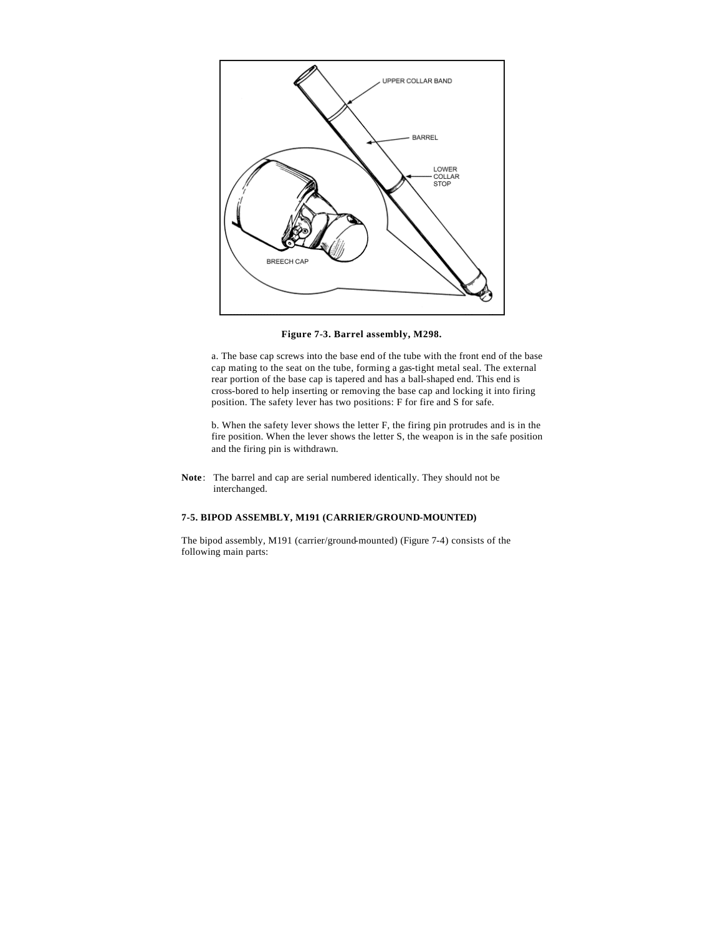

**Figure 7-3. Barrel assembly, M298.**

a. The base cap screws into the base end of the tube with the front end of the base cap mating to the seat on the tube, forming a gas-tight metal seal. The external rear portion of the base cap is tapered and has a ball-shaped end. This end is cross-bored to help inserting or removing the base cap and locking it into firing position. The safety lever has two positions: F for fire and S for safe.

b. When the safety lever shows the letter F, the firing pin protrudes and is in the fire position. When the lever shows the letter S, the weapon is in the safe position and the firing pin is withdrawn.

**Note**: The barrel and cap are serial numbered identically. They should not be interchanged.

## **7-5. BIPOD ASSEMBLY, M191 (CARRIER/GROUND-MOUNTED)**

The bipod assembly, M191 (carrier/ground-mounted) (Figure 7-4) consists of the following main parts: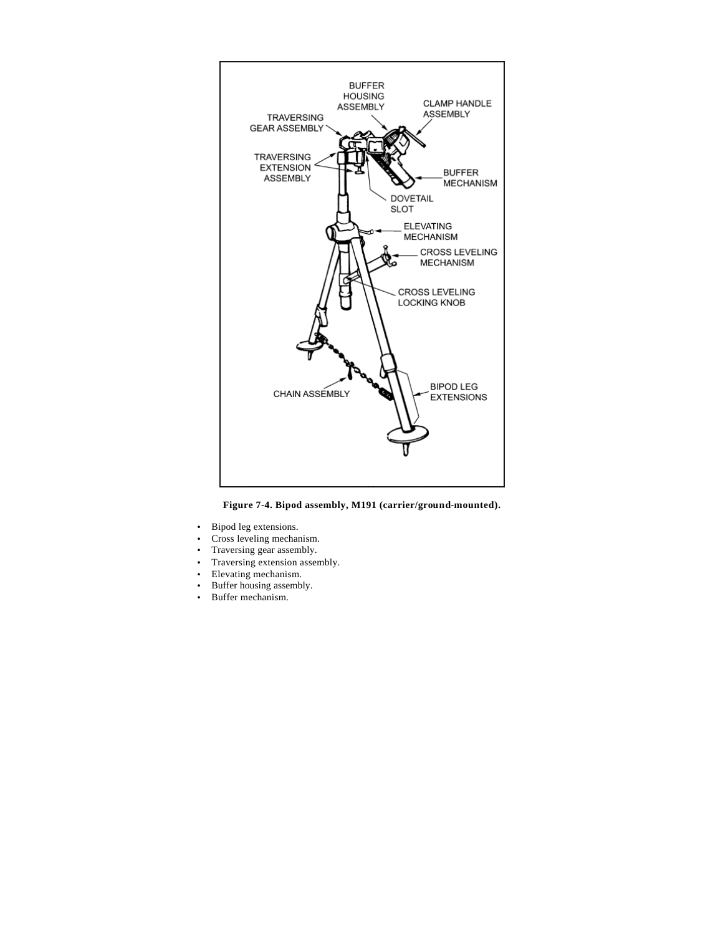

**Figure 7-4. Bipod assembly, M191 (carrier/ground-mounted).**

- Bipod leg extensions.
- Cross leveling mechanism.
- Traversing gear assembly.
- Traversing extension assembly.
- Elevating mechanism.
- Buffer housing assembly.
- Buffer mechanism.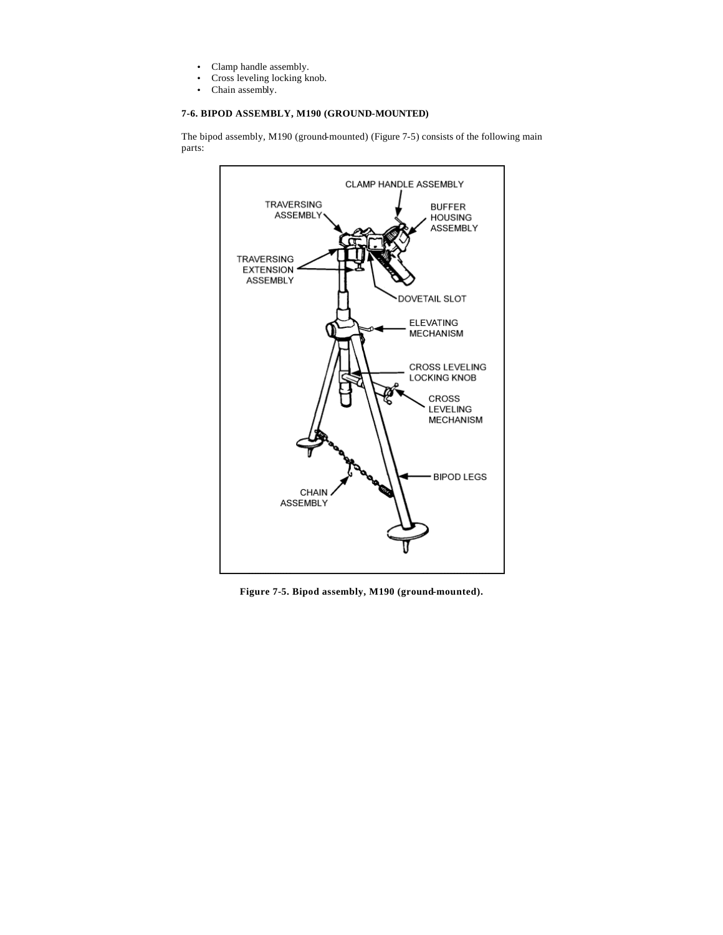- Clamp handle assembly.
- Cross leveling locking knob.
- Chain assembly.

## **7-6. BIPOD ASSEMBLY, M190 (GROUND-MOUNTED)**

The bipod assembly, M190 (ground-mounted) (Figure 7-5) consists of the following main parts:



**Figure 7-5. Bipod assembly, M190 (ground-mounted).**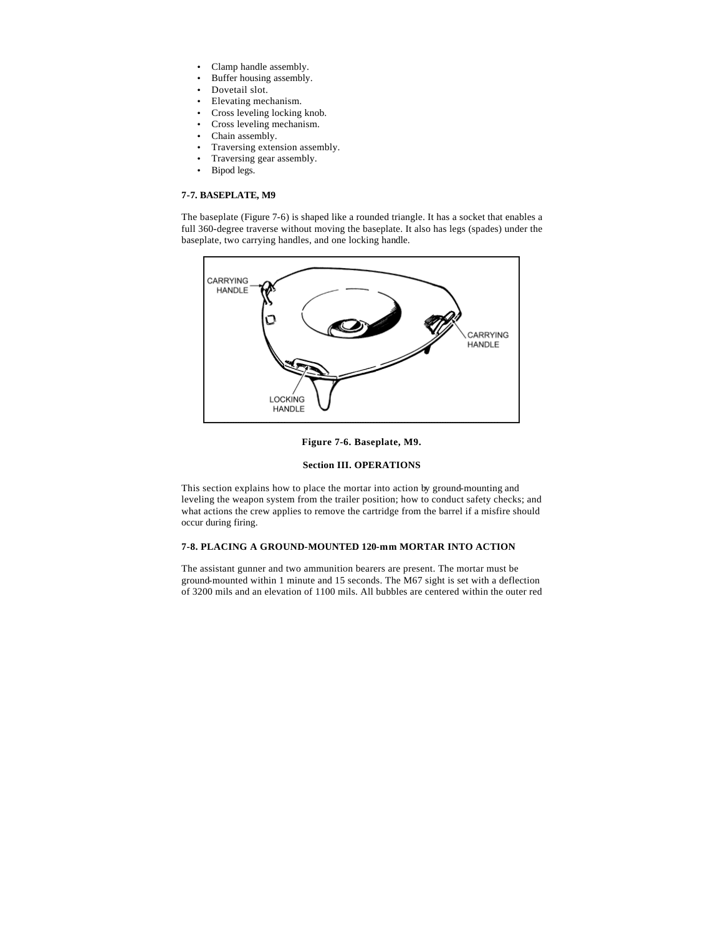- Clamp handle assembly.
- Buffer housing assembly.
- Dovetail slot.
- Elevating mechanism.
- Cross leveling locking knob.
- Cross leveling mechanism.
- Chain assembly.
- Traversing extension assembly.
- Traversing gear assembly.
- Bipod legs.

## **7-7. BASEPLATE, M9**

The baseplate (Figure 7-6) is shaped like a rounded triangle. It has a socket that enables a full 360-degree traverse without moving the baseplate. It also has legs (spades) under the baseplate, two carrying handles, and one locking handle.





## **Section III. OPERATIONS**

This section explains how to place the mortar into action by ground-mounting and leveling the weapon system from the trailer position; how to conduct safety checks; and what actions the crew applies to remove the cartridge from the barrel if a misfire should occur during firing.

## **7-8. PLACING A GROUND-MOUNTED 120-mm MORTAR INTO ACTION**

The assistant gunner and two ammunition bearers are present. The mortar must be ground-mounted within 1 minute and 15 seconds. The M67 sight is set with a deflection of 3200 mils and an elevation of 1100 mils. All bubbles are centered within the outer red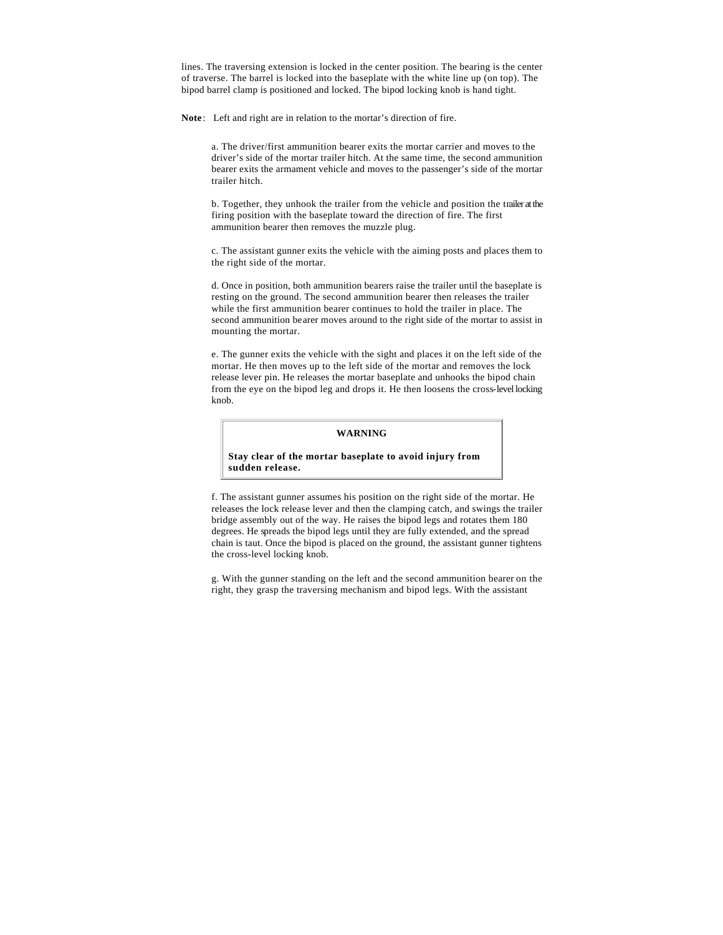lines. The traversing extension is locked in the center position. The bearing is the center of traverse. The barrel is locked into the baseplate with the white line up (on top). The bipod barrel clamp is positioned and locked. The bipod locking knob is hand tight.

**Note**: Left and right are in relation to the mortar's direction of fire.

a. The driver/first ammunition bearer exits the mortar carrier and moves to the driver's side of the mortar trailer hitch. At the same time, the second ammunition bearer exits the armament vehicle and moves to the passenger's side of the mortar trailer hitch.

b. Together, they unhook the trailer from the vehicle and position the trailer at the firing position with the baseplate toward the direction of fire. The first ammunition bearer then removes the muzzle plug.

c. The assistant gunner exits the vehicle with the aiming posts and places them to the right side of the mortar.

d. Once in position, both ammunition bearers raise the trailer until the baseplate is resting on the ground. The second ammunition bearer then releases the trailer while the first ammunition bearer continues to hold the trailer in place. The second ammunition bearer moves around to the right side of the mortar to assist in mounting the mortar.

e. The gunner exits the vehicle with the sight and places it on the left side of the mortar. He then moves up to the left side of the mortar and removes the lock release lever pin. He releases the mortar baseplate and unhooks the bipod chain from the eye on the bipod leg and drops it. He then loosens the cross-level locking knob.

### **WARNING**

#### **Stay clear of the mortar baseplate to avoid injury from sudden release.**

f. The assistant gunner assumes his position on the right side of the mortar. He releases the lock release lever and then the clamping catch, and swings the trailer bridge assembly out of the way. He raises the bipod legs and rotates them 180 degrees. He spreads the bipod legs until they are fully extended, and the spread chain is taut. Once the bipod is placed on the ground, the assistant gunner tightens the cross-level locking knob.

g. With the gunner standing on the left and the second ammunition bearer on the right, they grasp the traversing mechanism and bipod legs. With the assistant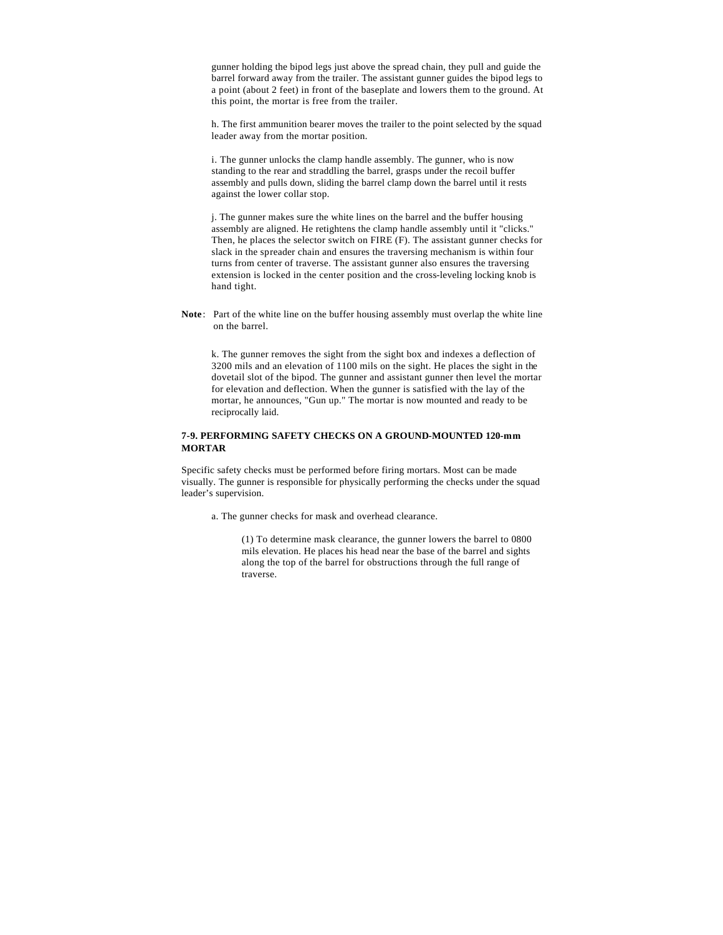gunner holding the bipod legs just above the spread chain, they pull and guide the barrel forward away from the trailer. The assistant gunner guides the bipod legs to a point (about 2 feet) in front of the baseplate and lowers them to the ground. At this point, the mortar is free from the trailer.

h. The first ammunition bearer moves the trailer to the point selected by the squad leader away from the mortar position.

i. The gunner unlocks the clamp handle assembly. The gunner, who is now standing to the rear and straddling the barrel, grasps under the recoil buffer assembly and pulls down, sliding the barrel clamp down the barrel until it rests against the lower collar stop.

j. The gunner makes sure the white lines on the barrel and the buffer housing assembly are aligned. He retightens the clamp handle assembly until it "clicks." Then, he places the selector switch on FIRE (F). The assistant gunner checks for slack in the spreader chain and ensures the traversing mechanism is within four turns from center of traverse. The assistant gunner also ensures the traversing extension is locked in the center position and the cross-leveling locking knob is hand tight.

**Note**: Part of the white line on the buffer housing assembly must overlap the white line on the barrel.

k. The gunner removes the sight from the sight box and indexes a deflection of 3200 mils and an elevation of 1100 mils on the sight. He places the sight in the dovetail slot of the bipod. The gunner and assistant gunner then level the mortar for elevation and deflection. When the gunner is satisfied with the lay of the mortar, he announces, "Gun up." The mortar is now mounted and ready to be reciprocally laid.

## **7-9. PERFORMING SAFETY CHECKS ON A GROUND-MOUNTED 120-mm MORTAR**

Specific safety checks must be performed before firing mortars. Most can be made visually. The gunner is responsible for physically performing the checks under the squad leader's supervision.

a. The gunner checks for mask and overhead clearance.

(1) To determine mask clearance, the gunner lowers the barrel to 0800 mils elevation. He places his head near the base of the barrel and sights along the top of the barrel for obstructions through the full range of traverse.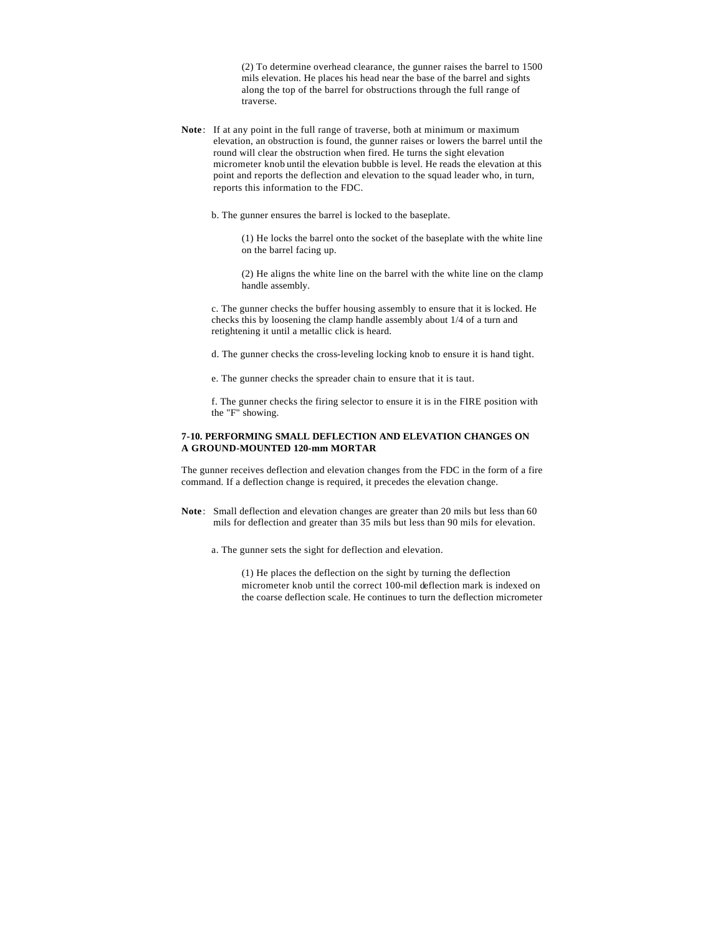(2) To determine overhead clearance, the gunner raises the barrel to 1500 mils elevation. He places his head near the base of the barrel and sights along the top of the barrel for obstructions through the full range of traverse.

**Note**: If at any point in the full range of traverse, both at minimum or maximum elevation, an obstruction is found, the gunner raises or lowers the barrel until the round will clear the obstruction when fired. He turns the sight elevation micrometer knob until the elevation bubble is level. He reads the elevation at this point and reports the deflection and elevation to the squad leader who, in turn, reports this information to the FDC.

b. The gunner ensures the barrel is locked to the baseplate.

(1) He locks the barrel onto the socket of the baseplate with the white line on the barrel facing up.

(2) He aligns the white line on the barrel with the white line on the clamp handle assembly.

c. The gunner checks the buffer housing assembly to ensure that it is locked. He checks this by loosening the clamp handle assembly about 1/4 of a turn and retightening it until a metallic click is heard.

d. The gunner checks the cross-leveling locking knob to ensure it is hand tight.

e. The gunner checks the spreader chain to ensure that it is taut.

f. The gunner checks the firing selector to ensure it is in the FIRE position with the "F" showing.

## **7-10. PERFORMING SMALL DEFLECTION AND ELEVATION CHANGES ON A GROUND-MOUNTED 120-mm MORTAR**

The gunner receives deflection and elevation changes from the FDC in the form of a fire command. If a deflection change is required, it precedes the elevation change.

- **Note**: Small deflection and elevation changes are greater than 20 mils but less than 60 mils for deflection and greater than 35 mils but less than 90 mils for elevation.
	- a. The gunner sets the sight for deflection and elevation.

(1) He places the deflection on the sight by turning the deflection micrometer knob until the correct 100-mil deflection mark is indexed on the coarse deflection scale. He continues to turn the deflection micrometer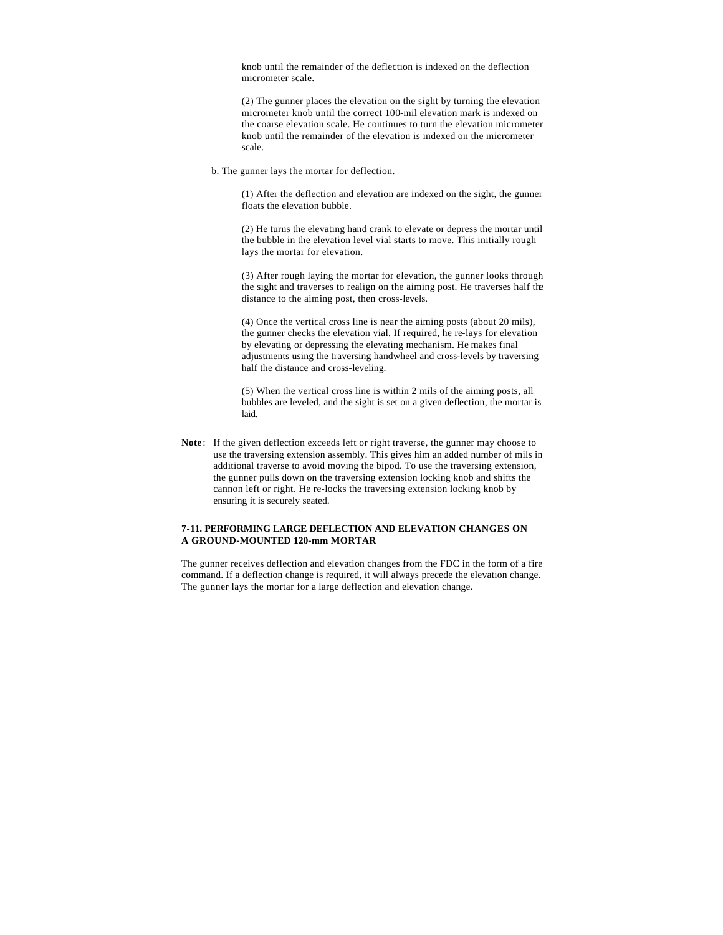knob until the remainder of the deflection is indexed on the deflection micrometer scale.

(2) The gunner places the elevation on the sight by turning the elevation micrometer knob until the correct 100-mil elevation mark is indexed on the coarse elevation scale. He continues to turn the elevation micrometer knob until the remainder of the elevation is indexed on the micrometer scale.

b. The gunner lays the mortar for deflection.

(1) After the deflection and elevation are indexed on the sight, the gunner floats the elevation bubble.

(2) He turns the elevating hand crank to elevate or depress the mortar until the bubble in the elevation level vial starts to move. This initially rough lays the mortar for elevation.

(3) After rough laying the mortar for elevation, the gunner looks through the sight and traverses to realign on the aiming post. He traverses half the distance to the aiming post, then cross-levels.

(4) Once the vertical cross line is near the aiming posts (about 20 mils), the gunner checks the elevation vial. If required, he re-lays for elevation by elevating or depressing the elevating mechanism. He makes final adjustments using the traversing handwheel and cross-levels by traversing half the distance and cross-leveling.

(5) When the vertical cross line is within 2 mils of the aiming posts, all bubbles are leveled, and the sight is set on a given deflection, the mortar is laid.

**Note**: If the given deflection exceeds left or right traverse, the gunner may choose to use the traversing extension assembly. This gives him an added number of mils in additional traverse to avoid moving the bipod. To use the traversing extension, the gunner pulls down on the traversing extension locking knob and shifts the cannon left or right. He re-locks the traversing extension locking knob by ensuring it is securely seated.

## **7-11. PERFORMING LARGE DEFLECTION AND ELEVATION CHANGES ON A GROUND-MOUNTED 120-mm MORTAR**

The gunner receives deflection and elevation changes from the FDC in the form of a fire command. If a deflection change is required, it will always precede the elevation change. The gunner lays the mortar for a large deflection and elevation change.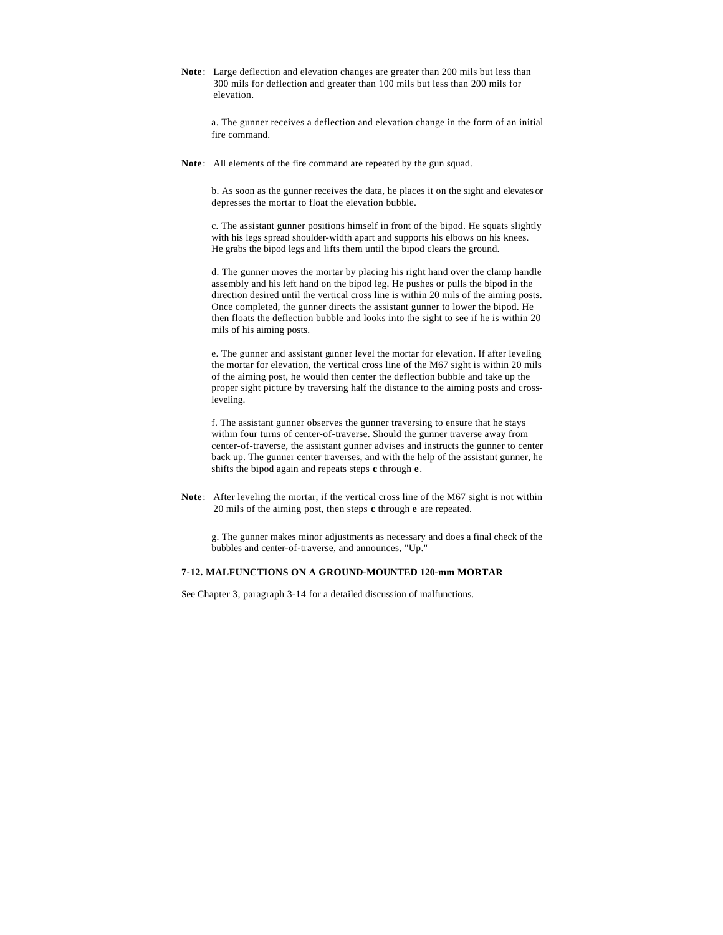**Note**: Large deflection and elevation changes are greater than 200 mils but less than 300 mils for deflection and greater than 100 mils but less than 200 mils for elevation.

a. The gunner receives a deflection and elevation change in the form of an initial fire command.

**Note**: All elements of the fire command are repeated by the gun squad.

b. As soon as the gunner receives the data, he places it on the sight and elevates or depresses the mortar to float the elevation bubble.

c. The assistant gunner positions himself in front of the bipod. He squats slightly with his legs spread shoulder-width apart and supports his elbows on his knees. He grabs the bipod legs and lifts them until the bipod clears the ground.

d. The gunner moves the mortar by placing his right hand over the clamp handle assembly and his left hand on the bipod leg. He pushes or pulls the bipod in the direction desired until the vertical cross line is within 20 mils of the aiming posts. Once completed, the gunner directs the assistant gunner to lower the bipod. He then floats the deflection bubble and looks into the sight to see if he is within 20 mils of his aiming posts.

e. The gunner and assistant gunner level the mortar for elevation. If after leveling the mortar for elevation, the vertical cross line of the M67 sight is within 20 mils of the aiming post, he would then center the deflection bubble and take up the proper sight picture by traversing half the distance to the aiming posts and crossleveling.

f. The assistant gunner observes the gunner traversing to ensure that he stays within four turns of center-of-traverse. Should the gunner traverse away from center-of-traverse, the assistant gunner advises and instructs the gunner to center back up. The gunner center traverses, and with the help of the assistant gunner, he shifts the bipod again and repeats steps **c** through **e**.

**Note**: After leveling the mortar, if the vertical cross line of the M67 sight is not within 20 mils of the aiming post, then steps **c** through **e** are repeated.

g. The gunner makes minor adjustments as necessary and does a final check of the bubbles and center-of-traverse, and announces, "Up."

## **7-12. MALFUNCTIONS ON A GROUND-MOUNTED 120-mm MORTAR**

See Chapter 3, paragraph 3-14 for a detailed discussion of malfunctions.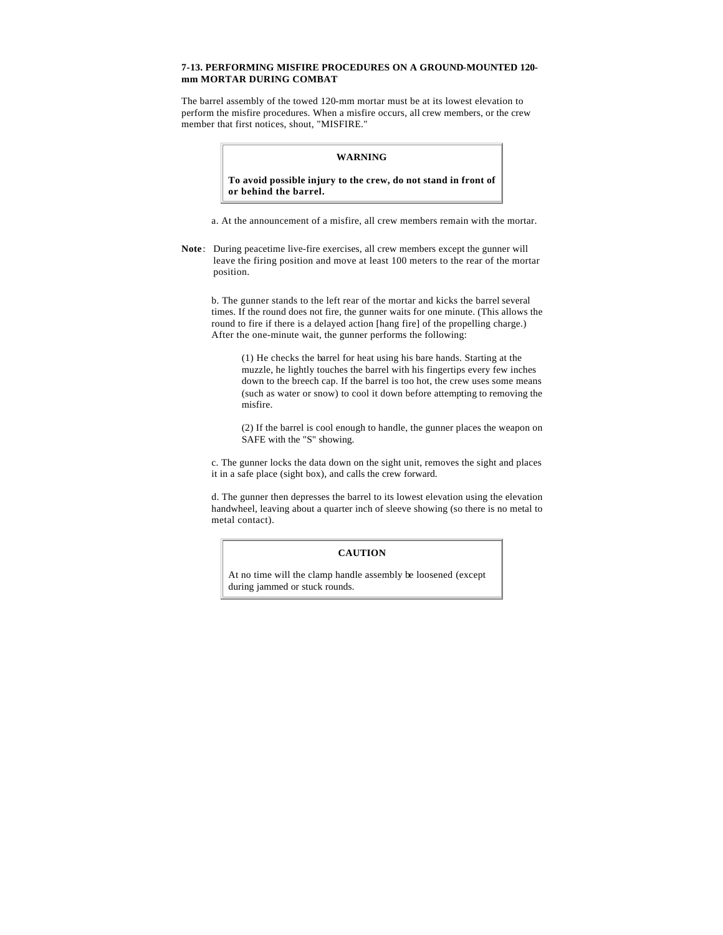### **7-13. PERFORMING MISFIRE PROCEDURES ON A GROUND-MOUNTED 120 mm MORTAR DURING COMBAT**

The barrel assembly of the towed 120-mm mortar must be at its lowest elevation to perform the misfire procedures. When a misfire occurs, all crew members, or the crew member that first notices, shout, "MISFIRE."

### **WARNING**

**To avoid possible injury to the crew, do not stand in front of or behind the barrel.**

a. At the announcement of a misfire, all crew members remain with the mortar.

**Note**: During peacetime live-fire exercises, all crew members except the gunner will leave the firing position and move at least 100 meters to the rear of the mortar position.

b. The gunner stands to the left rear of the mortar and kicks the barrel several times. If the round does not fire, the gunner waits for one minute. (This allows the round to fire if there is a delayed action [hang fire] of the propelling charge.) After the one-minute wait, the gunner performs the following:

(1) He checks the barrel for heat using his bare hands. Starting at the muzzle, he lightly touches the barrel with his fingertips every few inches down to the breech cap. If the barrel is too hot, the crew uses some means (such as water or snow) to cool it down before attempting to removing the misfire.

(2) If the barrel is cool enough to handle, the gunner places the weapon on SAFE with the "S" showing.

c. The gunner locks the data down on the sight unit, removes the sight and places it in a safe place (sight box), and calls the crew forward.

d. The gunner then depresses the barrel to its lowest elevation using the elevation handwheel, leaving about a quarter inch of sleeve showing (so there is no metal to metal contact).

## **CAUTION**

At no time will the clamp handle assembly be loosened (except during jammed or stuck rounds.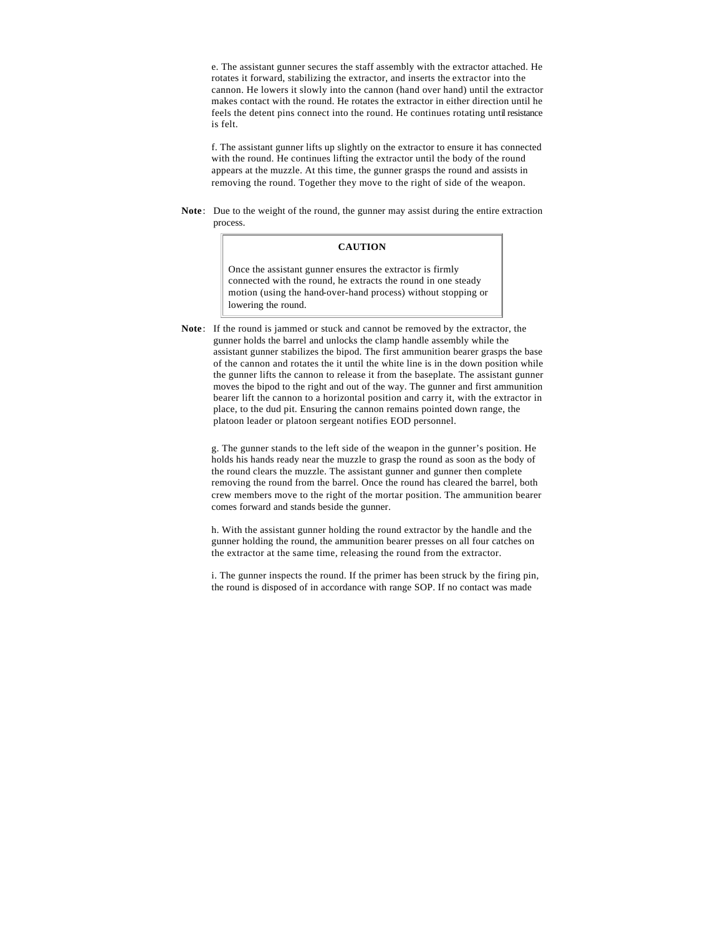e. The assistant gunner secures the staff assembly with the extractor attached. He rotates it forward, stabilizing the extractor, and inserts the extractor into the cannon. He lowers it slowly into the cannon (hand over hand) until the extractor makes contact with the round. He rotates the extractor in either direction until he feels the detent pins connect into the round. He continues rotating until resistance is felt.

f. The assistant gunner lifts up slightly on the extractor to ensure it has connected with the round. He continues lifting the extractor until the body of the round appears at the muzzle. At this time, the gunner grasps the round and assists in removing the round. Together they move to the right of side of the weapon.

**Note**: Due to the weight of the round, the gunner may assist during the entire extraction process.

## **CAUTION**

Once the assistant gunner ensures the extractor is firmly connected with the round, he extracts the round in one steady motion (using the hand-over-hand process) without stopping or lowering the round.

**Note**: If the round is jammed or stuck and cannot be removed by the extractor, the gunner holds the barrel and unlocks the clamp handle assembly while the assistant gunner stabilizes the bipod. The first ammunition bearer grasps the base of the cannon and rotates the it until the white line is in the down position while the gunner lifts the cannon to release it from the baseplate. The assistant gunner moves the bipod to the right and out of the way. The gunner and first ammunition bearer lift the cannon to a horizontal position and carry it, with the extractor in place, to the dud pit. Ensuring the cannon remains pointed down range, the platoon leader or platoon sergeant notifies EOD personnel.

g. The gunner stands to the left side of the weapon in the gunner's position. He holds his hands ready near the muzzle to grasp the round as soon as the body of the round clears the muzzle. The assistant gunner and gunner then complete removing the round from the barrel. Once the round has cleared the barrel, both crew members move to the right of the mortar position. The ammunition bearer comes forward and stands beside the gunner.

h. With the assistant gunner holding the round extractor by the handle and the gunner holding the round, the ammunition bearer presses on all four catches on the extractor at the same time, releasing the round from the extractor.

i. The gunner inspects the round. If the primer has been struck by the firing pin, the round is disposed of in accordance with range SOP. If no contact was made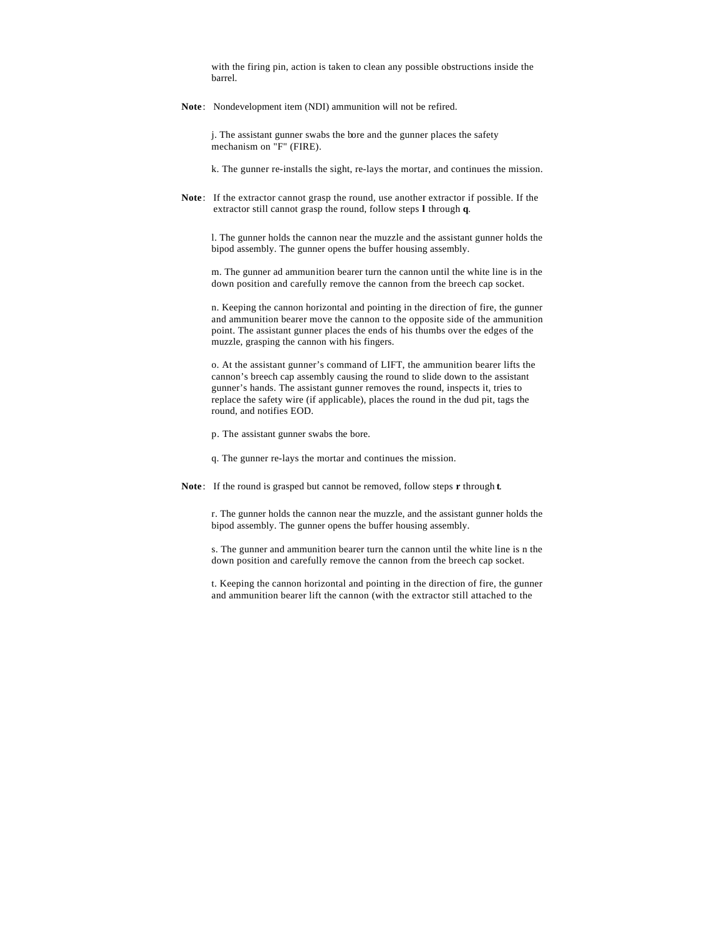with the firing pin, action is taken to clean any possible obstructions inside the barrel.

**Note**: Nondevelopment item (NDI) ammunition will not be refired.

j. The assistant gunner swabs the bore and the gunner places the safety mechanism on "F" (FIRE).

k. The gunner re-installs the sight, re-lays the mortar, and continues the mission.

**Note**: If the extractor cannot grasp the round, use another extractor if possible. If the extractor still cannot grasp the round, follow steps **l** through **q**.

l. The gunner holds the cannon near the muzzle and the assistant gunner holds the bipod assembly. The gunner opens the buffer housing assembly.

m. The gunner ad ammunition bearer turn the cannon until the white line is in the down position and carefully remove the cannon from the breech cap socket.

n. Keeping the cannon horizontal and pointing in the direction of fire, the gunner and ammunition bearer move the cannon to the opposite side of the ammunition point. The assistant gunner places the ends of his thumbs over the edges of the muzzle, grasping the cannon with his fingers.

o. At the assistant gunner's command of LIFT, the ammunition bearer lifts the cannon's breech cap assembly causing the round to slide down to the assistant gunner's hands. The assistant gunner removes the round, inspects it, tries to replace the safety wire (if applicable), places the round in the dud pit, tags the round, and notifies EOD.

- p. The assistant gunner swabs the bore.
- q. The gunner re-lays the mortar and continues the mission.
- **Note**: If the round is grasped but cannot be removed, follow steps **r** through **t**.

r. The gunner holds the cannon near the muzzle, and the assistant gunner holds the bipod assembly. The gunner opens the buffer housing assembly.

s. The gunner and ammunition bearer turn the cannon until the white line is n the down position and carefully remove the cannon from the breech cap socket.

t. Keeping the cannon horizontal and pointing in the direction of fire, the gunner and ammunition bearer lift the cannon (with the extractor still attached to the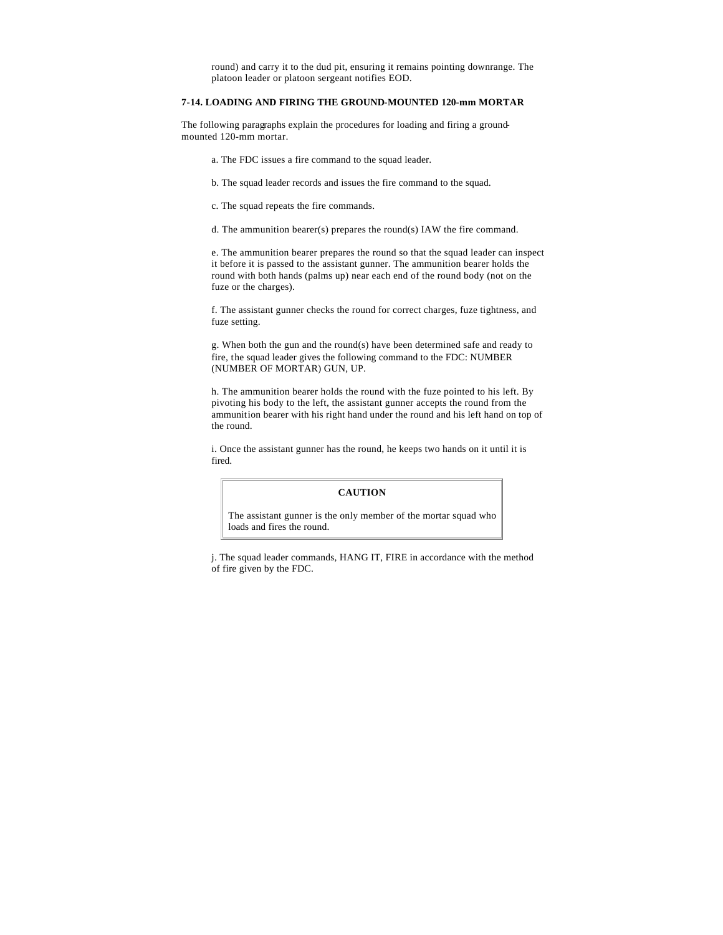round) and carry it to the dud pit, ensuring it remains pointing downrange. The platoon leader or platoon sergeant notifies EOD.

## **7-14. LOADING AND FIRING THE GROUND-MOUNTED 120-mm MORTAR**

The following paragraphs explain the procedures for loading and firing a groundmounted 120-mm mortar.

- a. The FDC issues a fire command to the squad leader.
- b. The squad leader records and issues the fire command to the squad.
- c. The squad repeats the fire commands.
- d. The ammunition bearer(s) prepares the round(s) IAW the fire command.

e. The ammunition bearer prepares the round so that the squad leader can inspect it before it is passed to the assistant gunner. The ammunition bearer holds the round with both hands (palms up) near each end of the round body (not on the fuze or the charges).

f. The assistant gunner checks the round for correct charges, fuze tightness, and fuze setting.

g. When both the gun and the round(s) have been determined safe and ready to fire, the squad leader gives the following command to the FDC: NUMBER (NUMBER OF MORTAR) GUN, UP.

h. The ammunition bearer holds the round with the fuze pointed to his left. By pivoting his body to the left, the assistant gunner accepts the round from the ammunition bearer with his right hand under the round and his left hand on top of the round.

i. Once the assistant gunner has the round, he keeps two hands on it until it is fired.

## **CAUTION**

The assistant gunner is the only member of the mortar squad who loads and fires the round.

j. The squad leader commands, HANG IT, FIRE in accordance with the method of fire given by the FDC.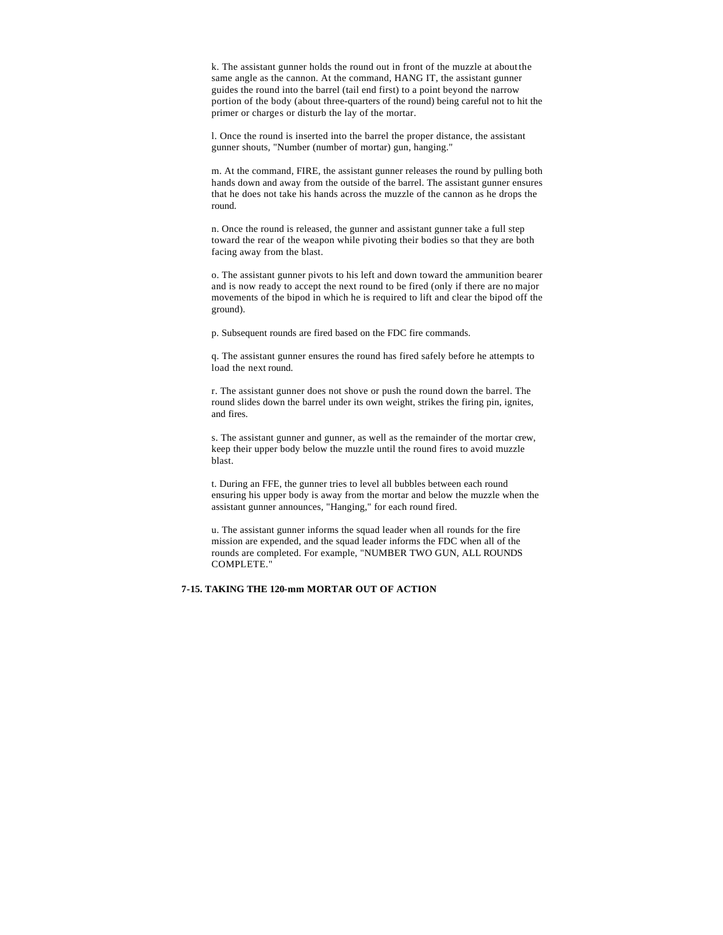k. The assistant gunner holds the round out in front of the muzzle at about the same angle as the cannon. At the command, HANG IT, the assistant gunner guides the round into the barrel (tail end first) to a point beyond the narrow portion of the body (about three-quarters of the round) being careful not to hit the primer or charges or disturb the lay of the mortar.

l. Once the round is inserted into the barrel the proper distance, the assistant gunner shouts, "Number (number of mortar) gun, hanging."

m. At the command, FIRE, the assistant gunner releases the round by pulling both hands down and away from the outside of the barrel. The assistant gunner ensures that he does not take his hands across the muzzle of the cannon as he drops the round.

n. Once the round is released, the gunner and assistant gunner take a full step toward the rear of the weapon while pivoting their bodies so that they are both facing away from the blast.

o. The assistant gunner pivots to his left and down toward the ammunition bearer and is now ready to accept the next round to be fired (only if there are no major movements of the bipod in which he is required to lift and clear the bipod off the ground).

p. Subsequent rounds are fired based on the FDC fire commands.

q. The assistant gunner ensures the round has fired safely before he attempts to load the next round.

r. The assistant gunner does not shove or push the round down the barrel. The round slides down the barrel under its own weight, strikes the firing pin, ignites, and fires.

s. The assistant gunner and gunner, as well as the remainder of the mortar crew, keep their upper body below the muzzle until the round fires to avoid muzzle blast.

t. During an FFE, the gunner tries to level all bubbles between each round ensuring his upper body is away from the mortar and below the muzzle when the assistant gunner announces, "Hanging," for each round fired.

u. The assistant gunner informs the squad leader when all rounds for the fire mission are expended, and the squad leader informs the FDC when all of the rounds are completed. For example, "NUMBER TWO GUN, ALL ROUNDS COMPLETE."

### **7-15. TAKING THE 120-mm MORTAR OUT OF ACTION**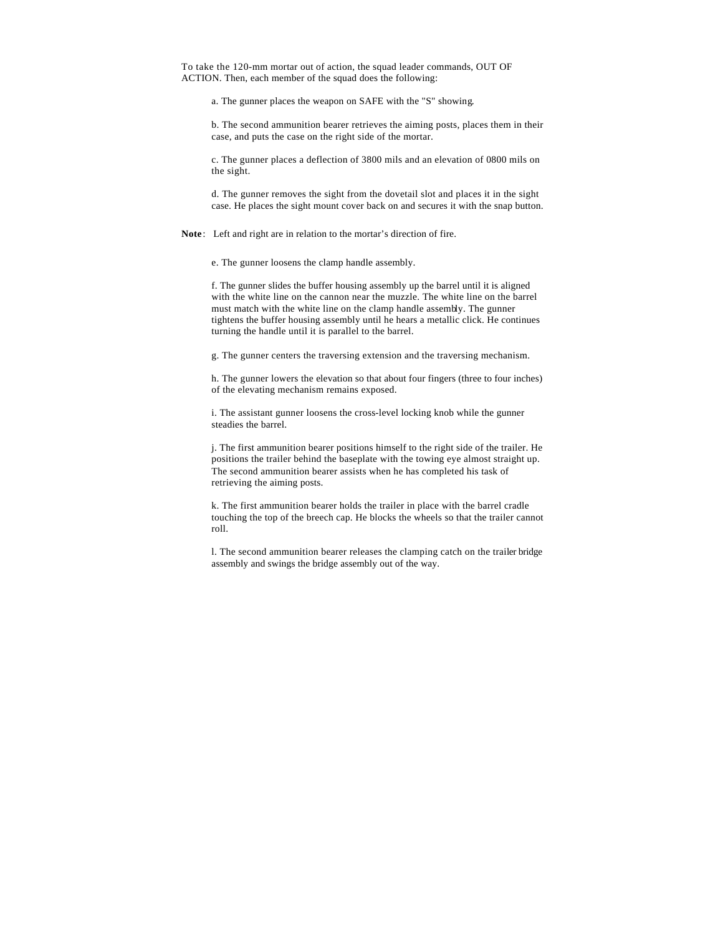To take the 120-mm mortar out of action, the squad leader commands, OUT OF ACTION. Then, each member of the squad does the following:

a. The gunner places the weapon on SAFE with the "S" showing.

b. The second ammunition bearer retrieves the aiming posts, places them in their case, and puts the case on the right side of the mortar.

c. The gunner places a deflection of 3800 mils and an elevation of 0800 mils on the sight.

d. The gunner removes the sight from the dovetail slot and places it in the sight case. He places the sight mount cover back on and secures it with the snap button.

**Note**: Left and right are in relation to the mortar's direction of fire.

e. The gunner loosens the clamp handle assembly.

f. The gunner slides the buffer housing assembly up the barrel until it is aligned with the white line on the cannon near the muzzle. The white line on the barrel must match with the white line on the clamp handle assembly. The gunner tightens the buffer housing assembly until he hears a metallic click. He continues turning the handle until it is parallel to the barrel.

g. The gunner centers the traversing extension and the traversing mechanism.

h. The gunner lowers the elevation so that about four fingers (three to four inches) of the elevating mechanism remains exposed.

i. The assistant gunner loosens the cross-level locking knob while the gunner steadies the barrel.

j. The first ammunition bearer positions himself to the right side of the trailer. He positions the trailer behind the baseplate with the towing eye almost straight up. The second ammunition bearer assists when he has completed his task of retrieving the aiming posts.

k. The first ammunition bearer holds the trailer in place with the barrel cradle touching the top of the breech cap. He blocks the wheels so that the trailer cannot roll.

l. The second ammunition bearer releases the clamping catch on the trailer bridge assembly and swings the bridge assembly out of the way.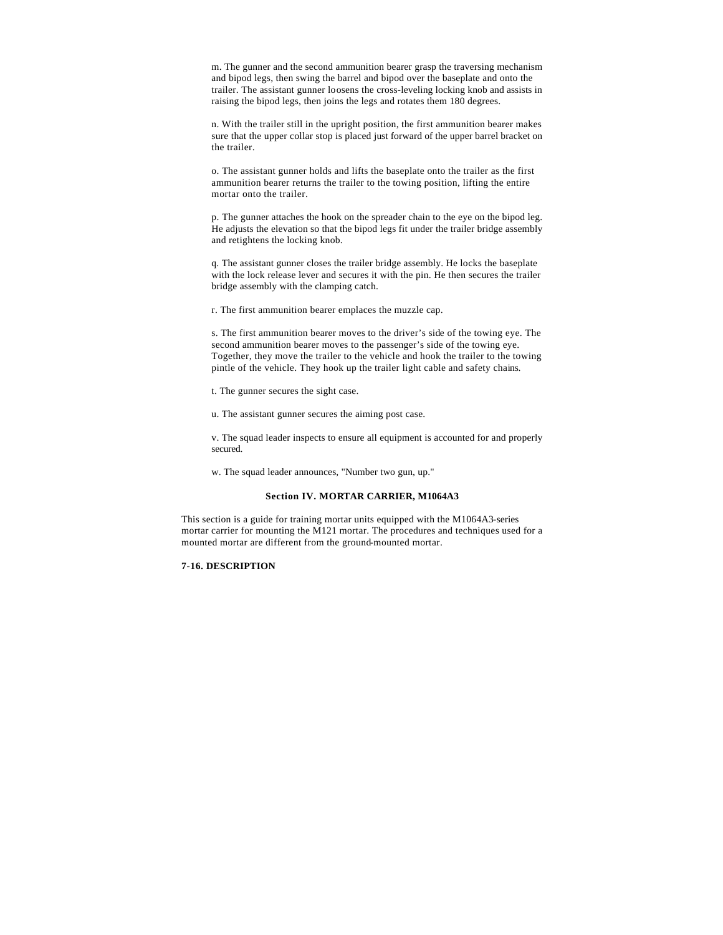m. The gunner and the second ammunition bearer grasp the traversing mechanism and bipod legs, then swing the barrel and bipod over the baseplate and onto the trailer. The assistant gunner loosens the cross-leveling locking knob and assists in raising the bipod legs, then joins the legs and rotates them 180 degrees.

n. With the trailer still in the upright position, the first ammunition bearer makes sure that the upper collar stop is placed just forward of the upper barrel bracket on the trailer.

o. The assistant gunner holds and lifts the baseplate onto the trailer as the first ammunition bearer returns the trailer to the towing position, lifting the entire mortar onto the trailer.

p. The gunner attaches the hook on the spreader chain to the eye on the bipod leg. He adjusts the elevation so that the bipod legs fit under the trailer bridge assembly and retightens the locking knob.

q. The assistant gunner closes the trailer bridge assembly. He locks the baseplate with the lock release lever and secures it with the pin. He then secures the trailer bridge assembly with the clamping catch.

r. The first ammunition bearer emplaces the muzzle cap.

s. The first ammunition bearer moves to the driver's side of the towing eye. The second ammunition bearer moves to the passenger's side of the towing eye. Together, they move the trailer to the vehicle and hook the trailer to the towing pintle of the vehicle. They hook up the trailer light cable and safety chains.

t. The gunner secures the sight case.

u. The assistant gunner secures the aiming post case.

v. The squad leader inspects to ensure all equipment is accounted for and properly secured.

w. The squad leader announces, "Number two gun, up."

### **Section IV. MORTAR CARRIER, M1064A3**

This section is a guide for training mortar units equipped with the M1064A3-series mortar carrier for mounting the M121 mortar. The procedures and techniques used for a mounted mortar are different from the ground-mounted mortar.

## **7-16. DESCRIPTION**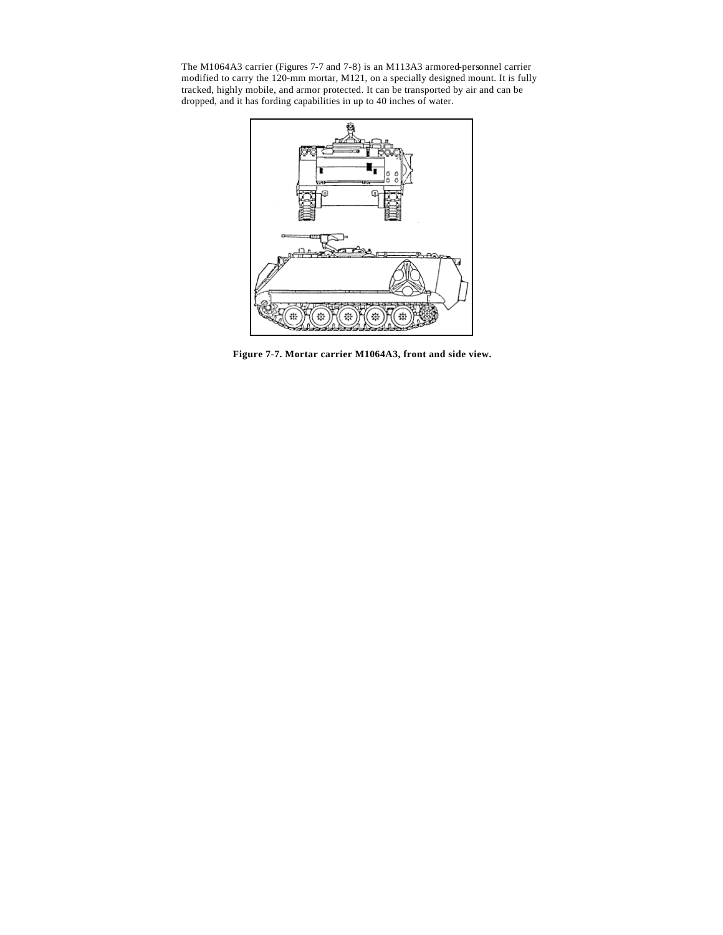The M1064A3 carrier (Figures 7-7 and 7-8) is an M113A3 armored-personnel carrier modified to carry the 120-mm mortar, M121, on a specially designed mount. It is fully tracked, highly mobile, and armor protected. It can be transported by air and can be dropped, and it has fording capabilities in up to 40 inches of water.



**Figure 7-7. Mortar carrier M1064A3, front and side view.**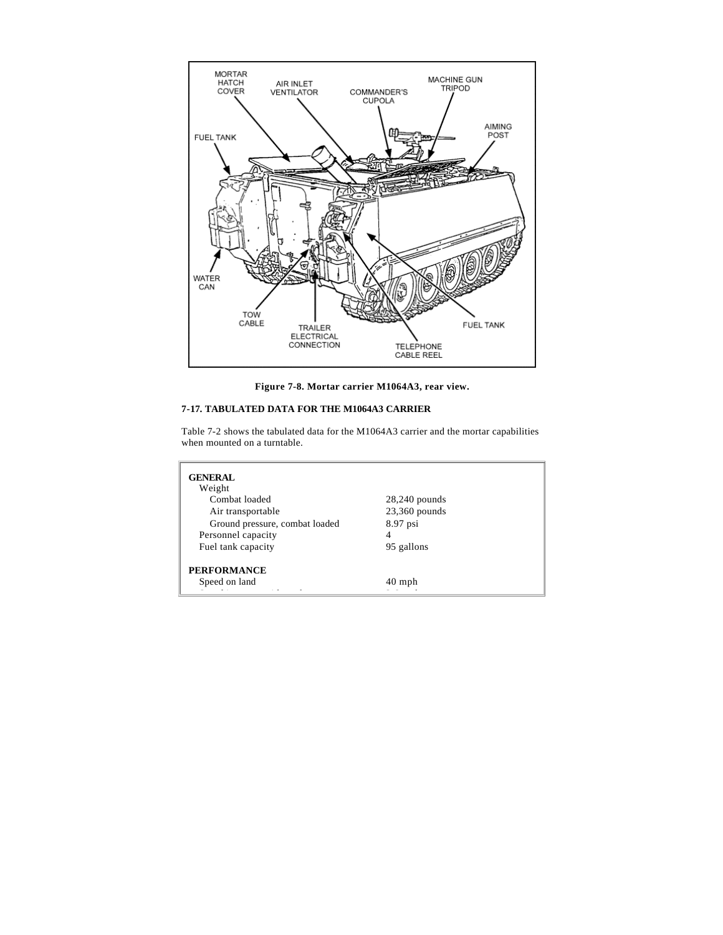

**Figure 7-8. Mortar carrier M1064A3, rear view.**

# **7-17. TABULATED DATA FOR THE M1064A3 CARRIER**

Table 7-2 shows the tabulated data for the M1064A3 carrier and the mortar capabilities when mounted on a turntable.

| <b>GENERAL</b><br>Weight            |                 |  |
|-------------------------------------|-----------------|--|
| Combat loaded                       | $28,240$ pounds |  |
| Air transportable                   | $23,360$ pounds |  |
| Ground pressure, combat loaded      | 8.97 psi        |  |
| Personnel capacity                  | 4               |  |
| Fuel tank capacity                  | 95 gallons      |  |
| <b>PERFORMANCE</b><br>Speed on land | $40$ mph        |  |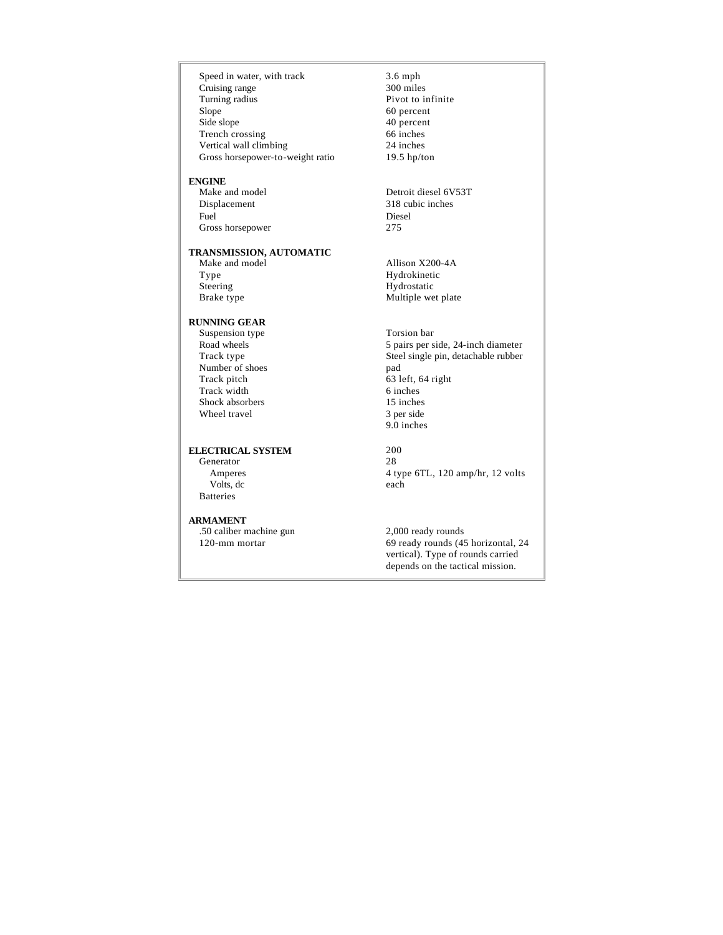Speed in water, with track Cruising range Turning radius Slope Side slope Trench crossing Vertical wall climbing Gross horsepower-to-weight ratio

## **ENGINE**

 Make and model Displacement Fuel Gross horsepower

## **TRANSMISSION, AUTOMATIC**

 Make and model Type Steering Brake type

## **RUNNING GEAR**

 Suspension type Road wheels Track type Number of shoes Track pitch Track width Shock absorbers Wheel travel

# **ELECTRICAL SYSTEM**

 Generator Amperes Volts, dc Batteries

### **ARMAMENT**

 .50 caliber machine gun 120-mm mortar

3.6 mph 300 miles Pivot to infinite 60 percent 40 percent 66 inches 24 inches 19.5 hp/ton

Detroit diesel 6V53T 318 cubic inches Diesel 275

Allison X200-4A Hydrokinetic Hydrostatic Multiple wet plate

Torsion bar 5 pairs per side, 24-inch diameter Steel single pin, detachable rubber pad 63 left, 64 right 6 inches 15 inches 3 per side 9.0 inches

200 28 4 type 6TL, 120 amp/hr, 12 volts each

2,000 ready rounds 69 ready rounds (45 horizontal, 24 vertical). Type of rounds carried depends on the tactical mission.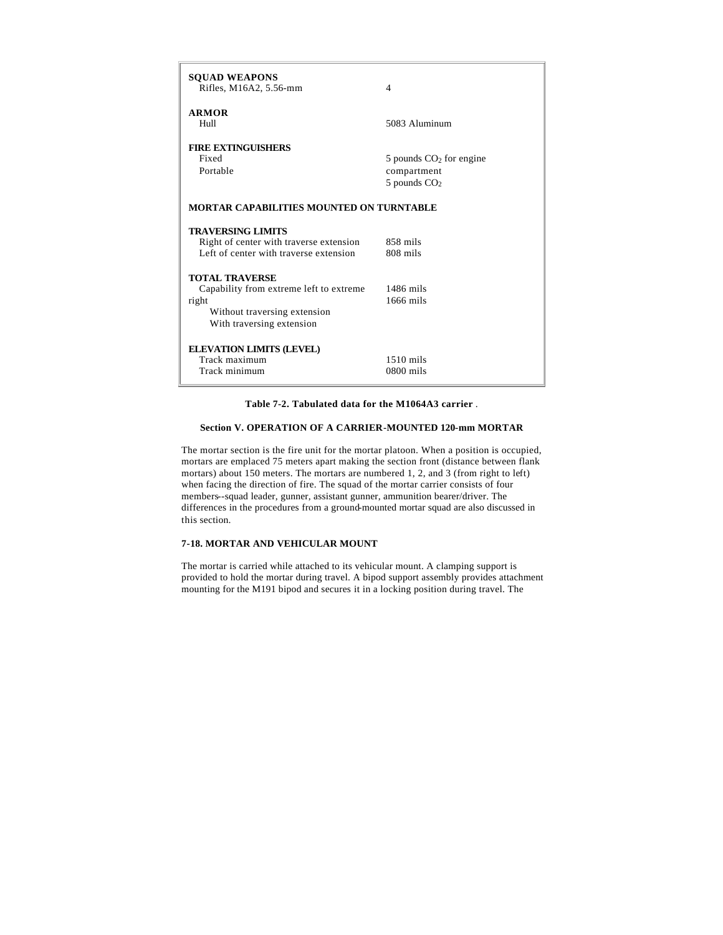| <b>SQUAD WEAPONS</b><br>Rifles, M16A2, 5.56-mm                                                                                         | 4                                                            |  |
|----------------------------------------------------------------------------------------------------------------------------------------|--------------------------------------------------------------|--|
| <b>ARMOR</b><br>Hull                                                                                                                   | 5083 Aluminum                                                |  |
| <b>FIRE EXTINGUISHERS</b><br>Fixed<br>Portable                                                                                         | 5 pounds $CO2$ for engine<br>compartment<br>$5$ pounds $CO2$ |  |
| MORTAR CAPABILITIES MOUNTED ON TURNTABLE                                                                                               |                                                              |  |
| <b>TRAVERSING LIMITS</b><br>Right of center with traverse extension<br>Left of center with traverse extension                          | 858 mils<br>808 mils                                         |  |
| <b>TOTAL TRAVERSE</b><br>Capability from extreme left to extreme<br>right<br>Without traversing extension<br>With traversing extension | $1486$ mils<br>$1666$ mils                                   |  |
| <b>ELEVATION LIMITS (LEVEL)</b><br>Track maximum<br>Track minimum                                                                      | $1510$ mils<br>$0800$ mils                                   |  |

## **Table 7-2. Tabulated data for the M1064A3 carrier** .

## **Section V. OPERATION OF A CARRIER-MOUNTED 120-mm MORTAR**

The mortar section is the fire unit for the mortar platoon. When a position is occupied, mortars are emplaced 75 meters apart making the section front (distance between flank mortars) about 150 meters. The mortars are numbered 1, 2, and 3 (from right to left) when facing the direction of fire. The squad of the mortar carrier consists of four members--squad leader, gunner, assistant gunner, ammunition bearer/driver. The differences in the procedures from a ground-mounted mortar squad are also discussed in this section.

## **7-18. MORTAR AND VEHICULAR MOUNT**

The mortar is carried while attached to its vehicular mount. A clamping support is provided to hold the mortar during travel. A bipod support assembly provides attachment mounting for the M191 bipod and secures it in a locking position during travel. The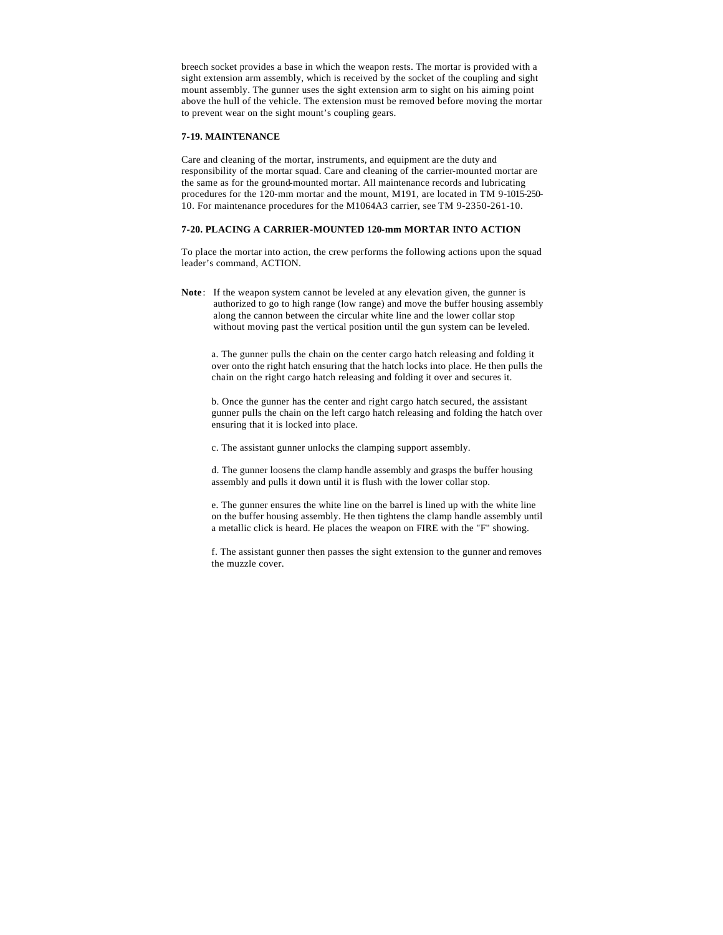breech socket provides a base in which the weapon rests. The mortar is provided with a sight extension arm assembly, which is received by the socket of the coupling and sight mount assembly. The gunner uses the sight extension arm to sight on his aiming point above the hull of the vehicle. The extension must be removed before moving the mortar to prevent wear on the sight mount's coupling gears.

#### **7-19. MAINTENANCE**

Care and cleaning of the mortar, instruments, and equipment are the duty and responsibility of the mortar squad. Care and cleaning of the carrier-mounted mortar are the same as for the ground-mounted mortar. All maintenance records and lubricating procedures for the 120-mm mortar and the mount, M191, are located in TM 9-1015-250- 10. For maintenance procedures for the M1064A3 carrier, see TM 9-2350-261-10.

#### **7-20. PLACING A CARRIER-MOUNTED 120-mm MORTAR INTO ACTION**

To place the mortar into action, the crew performs the following actions upon the squad leader's command, ACTION.

**Note**: If the weapon system cannot be leveled at any elevation given, the gunner is authorized to go to high range (low range) and move the buffer housing assembly along the cannon between the circular white line and the lower collar stop without moving past the vertical position until the gun system can be leveled.

a. The gunner pulls the chain on the center cargo hatch releasing and folding it over onto the right hatch ensuring that the hatch locks into place. He then pulls the chain on the right cargo hatch releasing and folding it over and secures it.

b. Once the gunner has the center and right cargo hatch secured, the assistant gunner pulls the chain on the left cargo hatch releasing and folding the hatch over ensuring that it is locked into place.

c. The assistant gunner unlocks the clamping support assembly.

d. The gunner loosens the clamp handle assembly and grasps the buffer housing assembly and pulls it down until it is flush with the lower collar stop.

e. The gunner ensures the white line on the barrel is lined up with the white line on the buffer housing assembly. He then tightens the clamp handle assembly until a metallic click is heard. He places the weapon on FIRE with the "F" showing.

f. The assistant gunner then passes the sight extension to the gunner and removes the muzzle cover.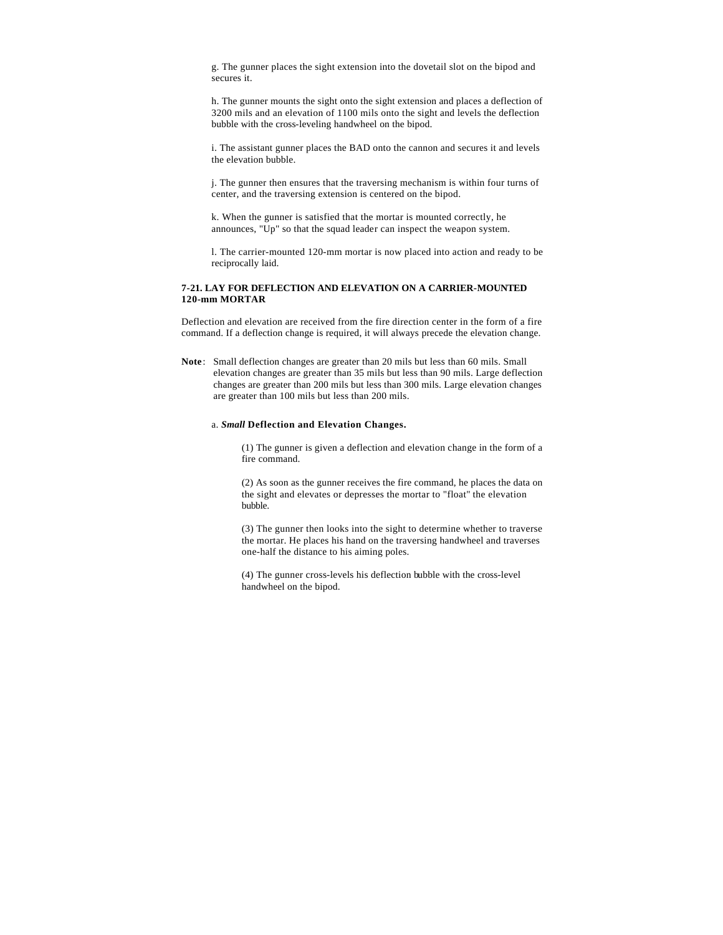g. The gunner places the sight extension into the dovetail slot on the bipod and secures it.

h. The gunner mounts the sight onto the sight extension and places a deflection of 3200 mils and an elevation of 1100 mils onto the sight and levels the deflection bubble with the cross-leveling handwheel on the bipod.

i. The assistant gunner places the BAD onto the cannon and secures it and levels the elevation bubble.

j. The gunner then ensures that the traversing mechanism is within four turns of center, and the traversing extension is centered on the bipod.

k. When the gunner is satisfied that the mortar is mounted correctly, he announces, "Up" so that the squad leader can inspect the weapon system.

l. The carrier-mounted 120-mm mortar is now placed into action and ready to be reciprocally laid.

### **7-21. LAY FOR DEFLECTION AND ELEVATION ON A CARRIER-MOUNTED 120-mm MORTAR**

Deflection and elevation are received from the fire direction center in the form of a fire command. If a deflection change is required, it will always precede the elevation change.

**Note**: Small deflection changes are greater than 20 mils but less than 60 mils. Small elevation changes are greater than 35 mils but less than 90 mils. Large deflection changes are greater than 200 mils but less than 300 mils. Large elevation changes are greater than 100 mils but less than 200 mils.

#### a. *Small* **Deflection and Elevation Changes.**

(1) The gunner is given a deflection and elevation change in the form of a fire command.

(2) As soon as the gunner receives the fire command, he places the data on the sight and elevates or depresses the mortar to "float" the elevation bubble.

(3) The gunner then looks into the sight to determine whether to traverse the mortar. He places his hand on the traversing handwheel and traverses one-half the distance to his aiming poles.

(4) The gunner cross-levels his deflection bubble with the cross-level handwheel on the bipod.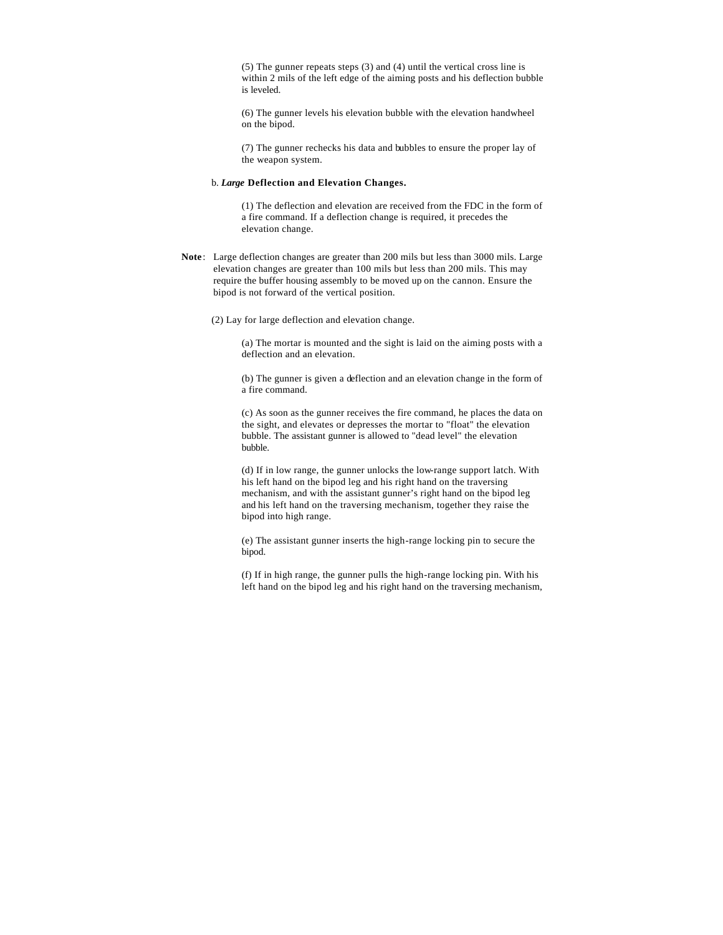(5) The gunner repeats steps (3) and (4) until the vertical cross line is within 2 mils of the left edge of the aiming posts and his deflection bubble is leveled.

(6) The gunner levels his elevation bubble with the elevation handwheel on the bipod.

(7) The gunner rechecks his data and bubbles to ensure the proper lay of the weapon system.

### b. *Large* **Deflection and Elevation Changes.**

(1) The deflection and elevation are received from the FDC in the form of a fire command. If a deflection change is required, it precedes the elevation change.

- **Note**: Large deflection changes are greater than 200 mils but less than 3000 mils. Large elevation changes are greater than 100 mils but less than 200 mils. This may require the buffer housing assembly to be moved up on the cannon. Ensure the bipod is not forward of the vertical position.
	- (2) Lay for large deflection and elevation change.

(a) The mortar is mounted and the sight is laid on the aiming posts with a deflection and an elevation.

(b) The gunner is given a deflection and an elevation change in the form of a fire command.

(c) As soon as the gunner receives the fire command, he places the data on the sight, and elevates or depresses the mortar to "float" the elevation bubble. The assistant gunner is allowed to "dead level" the elevation bubble.

(d) If in low range, the gunner unlocks the low-range support latch. With his left hand on the bipod leg and his right hand on the traversing mechanism, and with the assistant gunner's right hand on the bipod leg and his left hand on the traversing mechanism, together they raise the bipod into high range.

(e) The assistant gunner inserts the high-range locking pin to secure the bipod.

(f) If in high range, the gunner pulls the high-range locking pin. With his left hand on the bipod leg and his right hand on the traversing mechanism,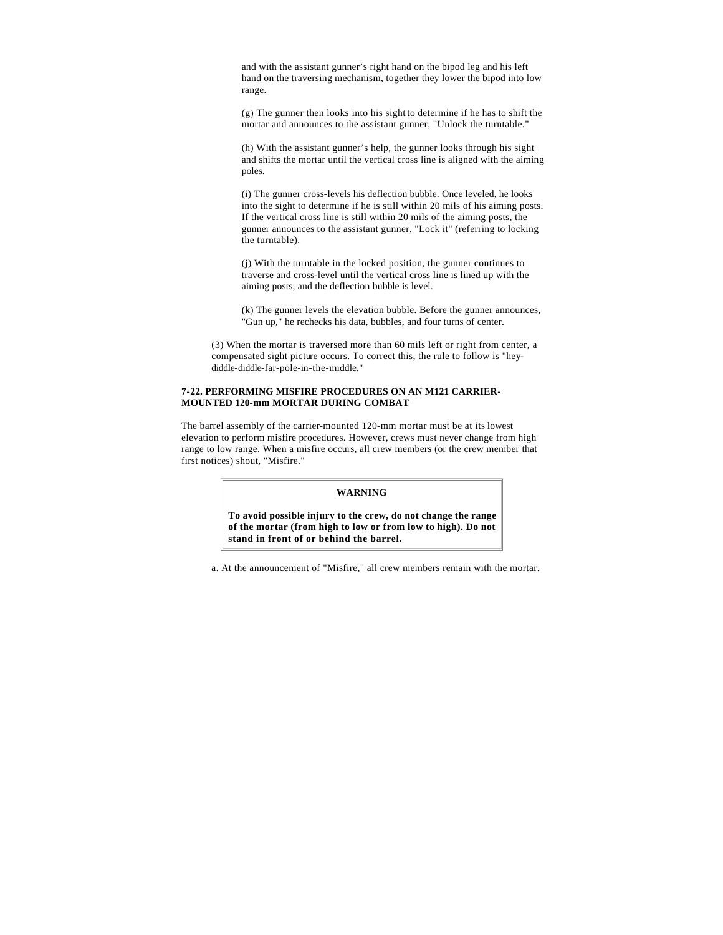and with the assistant gunner's right hand on the bipod leg and his left hand on the traversing mechanism, together they lower the bipod into low range.

(g) The gunner then looks into his sight to determine if he has to shift the mortar and announces to the assistant gunner, "Unlock the turntable."

(h) With the assistant gunner's help, the gunner looks through his sight and shifts the mortar until the vertical cross line is aligned with the aiming poles.

(i) The gunner cross-levels his deflection bubble. Once leveled, he looks into the sight to determine if he is still within 20 mils of his aiming posts. If the vertical cross line is still within 20 mils of the aiming posts, the gunner announces to the assistant gunner, "Lock it" (referring to locking the turntable).

(j) With the turntable in the locked position, the gunner continues to traverse and cross-level until the vertical cross line is lined up with the aiming posts, and the deflection bubble is level.

(k) The gunner levels the elevation bubble. Before the gunner announces, "Gun up," he rechecks his data, bubbles, and four turns of center.

(3) When the mortar is traversed more than 60 mils left or right from center, a compensated sight picture occurs. To correct this, the rule to follow is "heydiddle-diddle-far-pole-in-the-middle."

### **7-22. PERFORMING MISFIRE PROCEDURES ON AN M121 CARRIER-MOUNTED 120-mm MORTAR DURING COMBAT**

The barrel assembly of the carrier-mounted 120-mm mortar must be at its lowest elevation to perform misfire procedures. However, crews must never change from high range to low range. When a misfire occurs, all crew members (or the crew member that first notices) shout, "Misfire."

### **WARNING**

**To avoid possible injury to the crew, do not change the range of the mortar (from high to low or from low to high). Do not stand in front of or behind the barrel.**

a. At the announcement of "Misfire," all crew members remain with the mortar.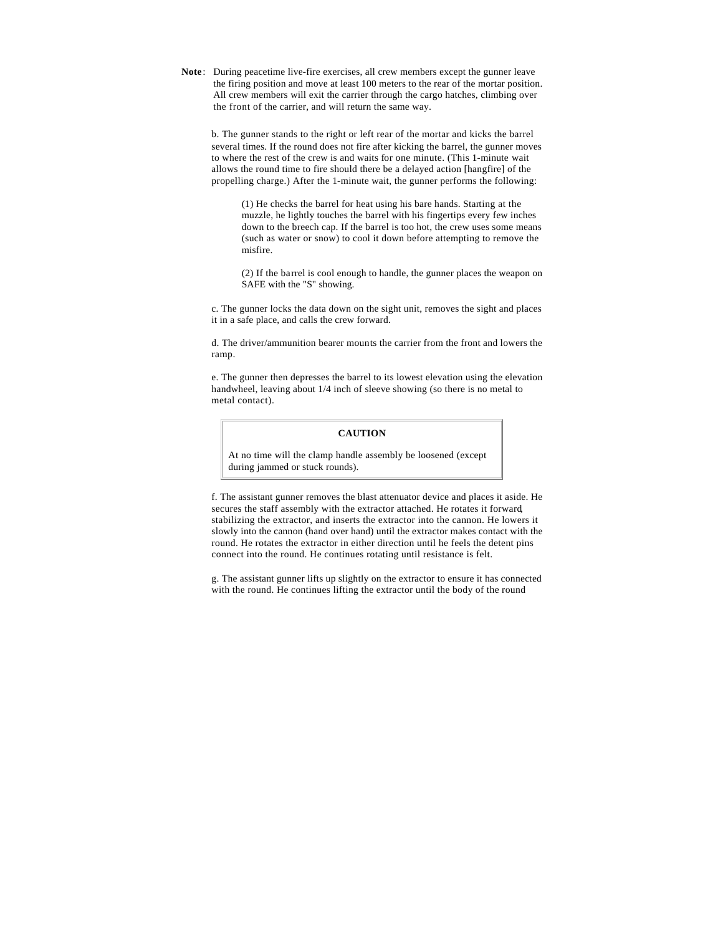**Note**: During peacetime live-fire exercises, all crew members except the gunner leave the firing position and move at least 100 meters to the rear of the mortar position. All crew members will exit the carrier through the cargo hatches, climbing over the front of the carrier, and will return the same way.

b. The gunner stands to the right or left rear of the mortar and kicks the barrel several times. If the round does not fire after kicking the barrel, the gunner moves to where the rest of the crew is and waits for one minute. (This 1-minute wait allows the round time to fire should there be a delayed action [hangfire] of the propelling charge.) After the 1-minute wait, the gunner performs the following:

(1) He checks the barrel for heat using his bare hands. Starting at the muzzle, he lightly touches the barrel with his fingertips every few inches down to the breech cap. If the barrel is too hot, the crew uses some means (such as water or snow) to cool it down before attempting to remove the misfire.

(2) If the barrel is cool enough to handle, the gunner places the weapon on SAFE with the "S" showing.

c. The gunner locks the data down on the sight unit, removes the sight and places it in a safe place, and calls the crew forward.

d. The driver/ammunition bearer mounts the carrier from the front and lowers the ramp.

e. The gunner then depresses the barrel to its lowest elevation using the elevation handwheel, leaving about 1/4 inch of sleeve showing (so there is no metal to metal contact).

## **CAUTION**

At no time will the clamp handle assembly be loosened (except during jammed or stuck rounds).

f. The assistant gunner removes the blast attenuator device and places it aside. He secures the staff assembly with the extractor attached. He rotates it forward, stabilizing the extractor, and inserts the extractor into the cannon. He lowers it slowly into the cannon (hand over hand) until the extractor makes contact with the round. He rotates the extractor in either direction until he feels the detent pins connect into the round. He continues rotating until resistance is felt.

g. The assistant gunner lifts up slightly on the extractor to ensure it has connected with the round. He continues lifting the extractor until the body of the round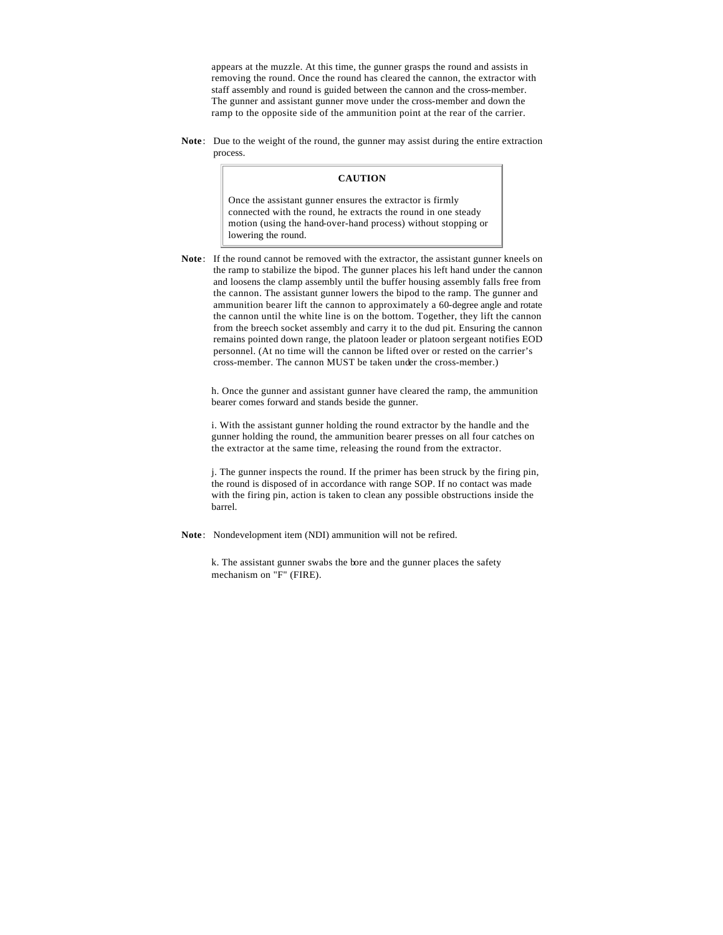appears at the muzzle. At this time, the gunner grasps the round and assists in removing the round. Once the round has cleared the cannon, the extractor with staff assembly and round is guided between the cannon and the cross-member. The gunner and assistant gunner move under the cross-member and down the ramp to the opposite side of the ammunition point at the rear of the carrier.

**Note**: Due to the weight of the round, the gunner may assist during the entire extraction process.

### **CAUTION**

Once the assistant gunner ensures the extractor is firmly connected with the round, he extracts the round in one steady motion (using the hand-over-hand process) without stopping or lowering the round.

**Note**: If the round cannot be removed with the extractor, the assistant gunner kneels on the ramp to stabilize the bipod. The gunner places his left hand under the cannon and loosens the clamp assembly until the buffer housing assembly falls free from the cannon. The assistant gunner lowers the bipod to the ramp. The gunner and ammunition bearer lift the cannon to approximately a 60-degree angle and rotate the cannon until the white line is on the bottom. Together, they lift the cannon from the breech socket assembly and carry it to the dud pit. Ensuring the cannon remains pointed down range, the platoon leader or platoon sergeant notifies EOD personnel. (At no time will the cannon be lifted over or rested on the carrier's cross-member. The cannon MUST be taken under the cross-member.)

h. Once the gunner and assistant gunner have cleared the ramp, the ammunition bearer comes forward and stands beside the gunner.

i. With the assistant gunner holding the round extractor by the handle and the gunner holding the round, the ammunition bearer presses on all four catches on the extractor at the same time, releasing the round from the extractor.

j. The gunner inspects the round. If the primer has been struck by the firing pin, the round is disposed of in accordance with range SOP. If no contact was made with the firing pin, action is taken to clean any possible obstructions inside the barrel.

**Note**: Nondevelopment item (NDI) ammunition will not be refired.

k. The assistant gunner swabs the bore and the gunner places the safety mechanism on "F" (FIRE).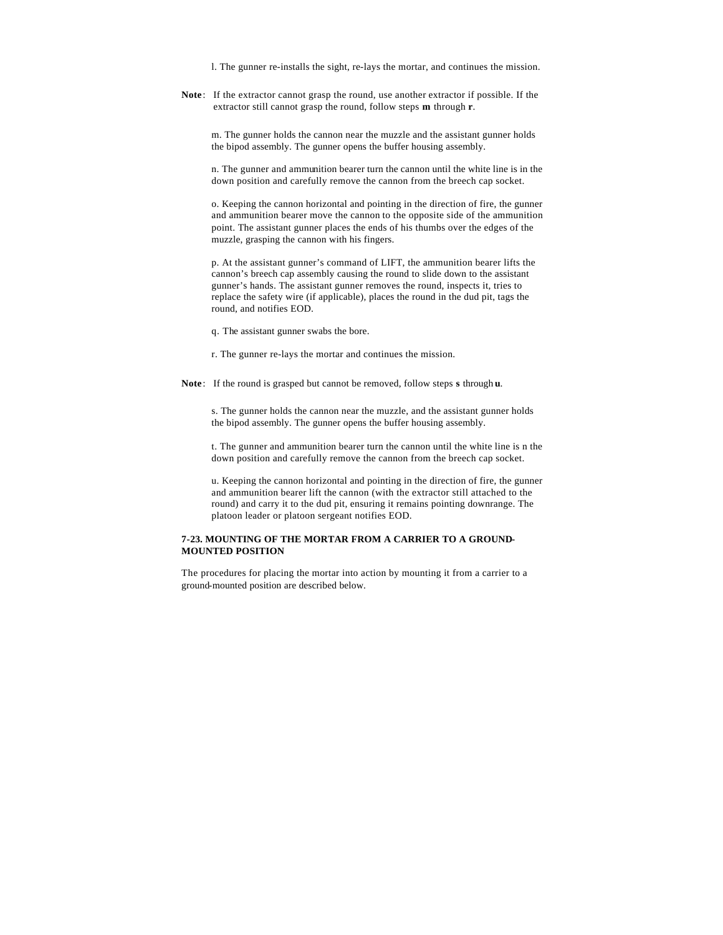l. The gunner re-installs the sight, re-lays the mortar, and continues the mission.

**Note**: If the extractor cannot grasp the round, use another extractor if possible. If the extractor still cannot grasp the round, follow steps **m** through **r**.

m. The gunner holds the cannon near the muzzle and the assistant gunner holds the bipod assembly. The gunner opens the buffer housing assembly.

n. The gunner and ammunition bearer turn the cannon until the white line is in the down position and carefully remove the cannon from the breech cap socket.

o. Keeping the cannon horizontal and pointing in the direction of fire, the gunner and ammunition bearer move the cannon to the opposite side of the ammunition point. The assistant gunner places the ends of his thumbs over the edges of the muzzle, grasping the cannon with his fingers.

p. At the assistant gunner's command of LIFT, the ammunition bearer lifts the cannon's breech cap assembly causing the round to slide down to the assistant gunner's hands. The assistant gunner removes the round, inspects it, tries to replace the safety wire (if applicable), places the round in the dud pit, tags the round, and notifies EOD.

q. The assistant gunner swabs the bore.

r. The gunner re-lays the mortar and continues the mission.

**Note**: If the round is grasped but cannot be removed, follow steps **s** through **u**.

s. The gunner holds the cannon near the muzzle, and the assistant gunner holds the bipod assembly. The gunner opens the buffer housing assembly.

t. The gunner and ammunition bearer turn the cannon until the white line is n the down position and carefully remove the cannon from the breech cap socket.

u. Keeping the cannon horizontal and pointing in the direction of fire, the gunner and ammunition bearer lift the cannon (with the extractor still attached to the round) and carry it to the dud pit, ensuring it remains pointing downrange. The platoon leader or platoon sergeant notifies EOD.

## **7-23. MOUNTING OF THE MORTAR FROM A CARRIER TO A GROUND-MOUNTED POSITION**

The procedures for placing the mortar into action by mounting it from a carrier to a ground-mounted position are described below.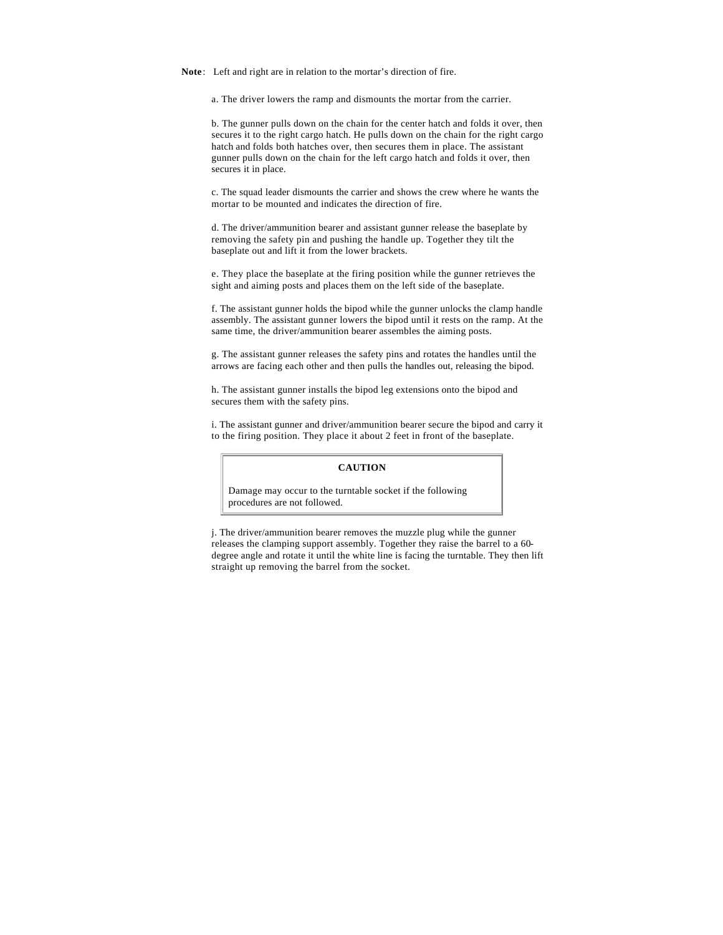**Note**: Left and right are in relation to the mortar's direction of fire.

a. The driver lowers the ramp and dismounts the mortar from the carrier.

b. The gunner pulls down on the chain for the center hatch and folds it over, then secures it to the right cargo hatch. He pulls down on the chain for the right cargo hatch and folds both hatches over, then secures them in place. The assistant gunner pulls down on the chain for the left cargo hatch and folds it over, then secures it in place.

c. The squad leader dismounts the carrier and shows the crew where he wants the mortar to be mounted and indicates the direction of fire.

d. The driver/ammunition bearer and assistant gunner release the baseplate by removing the safety pin and pushing the handle up. Together they tilt the baseplate out and lift it from the lower brackets.

e. They place the baseplate at the firing position while the gunner retrieves the sight and aiming posts and places them on the left side of the baseplate.

f. The assistant gunner holds the bipod while the gunner unlocks the clamp handle assembly. The assistant gunner lowers the bipod until it rests on the ramp. At the same time, the driver/ammunition bearer assembles the aiming posts.

g. The assistant gunner releases the safety pins and rotates the handles until the arrows are facing each other and then pulls the handles out, releasing the bipod.

h. The assistant gunner installs the bipod leg extensions onto the bipod and secures them with the safety pins.

i. The assistant gunner and driver/ammunition bearer secure the bipod and carry it to the firing position. They place it about 2 feet in front of the baseplate.

## **CAUTION**

Damage may occur to the turntable socket if the following procedures are not followed.

j. The driver/ammunition bearer removes the muzzle plug while the gunner releases the clamping support assembly. Together they raise the barrel to a 60 degree angle and rotate it until the white line is facing the turntable. They then lift straight up removing the barrel from the socket.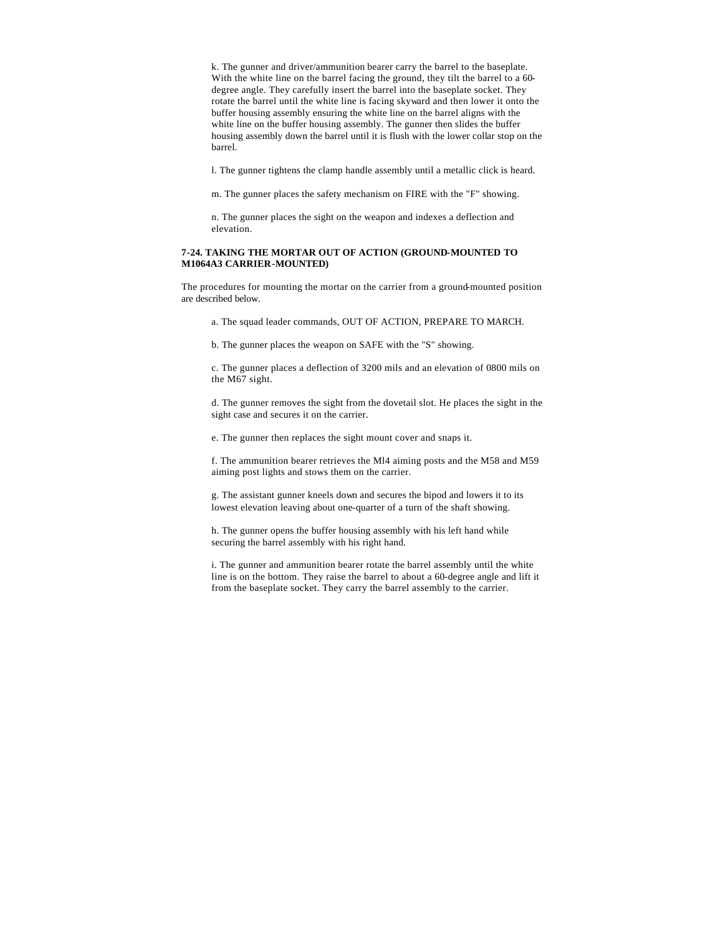k. The gunner and driver/ammunition bearer carry the barrel to the baseplate. With the white line on the barrel facing the ground, they tilt the barrel to a 60 degree angle. They carefully insert the barrel into the baseplate socket. They rotate the barrel until the white line is facing skyward and then lower it onto the buffer housing assembly ensuring the white line on the barrel aligns with the white line on the buffer housing assembly. The gunner then slides the buffer housing assembly down the barrel until it is flush with the lower collar stop on the barrel.

l. The gunner tightens the clamp handle assembly until a metallic click is heard.

m. The gunner places the safety mechanism on FIRE with the "F" showing.

n. The gunner places the sight on the weapon and indexes a deflection and elevation.

### **7-24. TAKING THE MORTAR OUT OF ACTION (GROUND-MOUNTED TO M1064A3 CARRIER-MOUNTED)**

The procedures for mounting the mortar on the carrier from a ground-mounted position are described below.

a. The squad leader commands, OUT OF ACTION, PREPARE TO MARCH.

b. The gunner places the weapon on SAFE with the "S" showing.

c. The gunner places a deflection of 3200 mils and an elevation of 0800 mils on the M67 sight.

d. The gunner removes the sight from the dovetail slot. He places the sight in the sight case and secures it on the carrier.

e. The gunner then replaces the sight mount cover and snaps it.

f. The ammunition bearer retrieves the Ml4 aiming posts and the M58 and M59 aiming post lights and stows them on the carrier.

g. The assistant gunner kneels down and secures the bipod and lowers it to its lowest elevation leaving about one-quarter of a turn of the shaft showing.

h. The gunner opens the buffer housing assembly with his left hand while securing the barrel assembly with his right hand.

i. The gunner and ammunition bearer rotate the barrel assembly until the white line is on the bottom. They raise the barrel to about a 60-degree angle and lift it from the baseplate socket. They carry the barrel assembly to the carrier.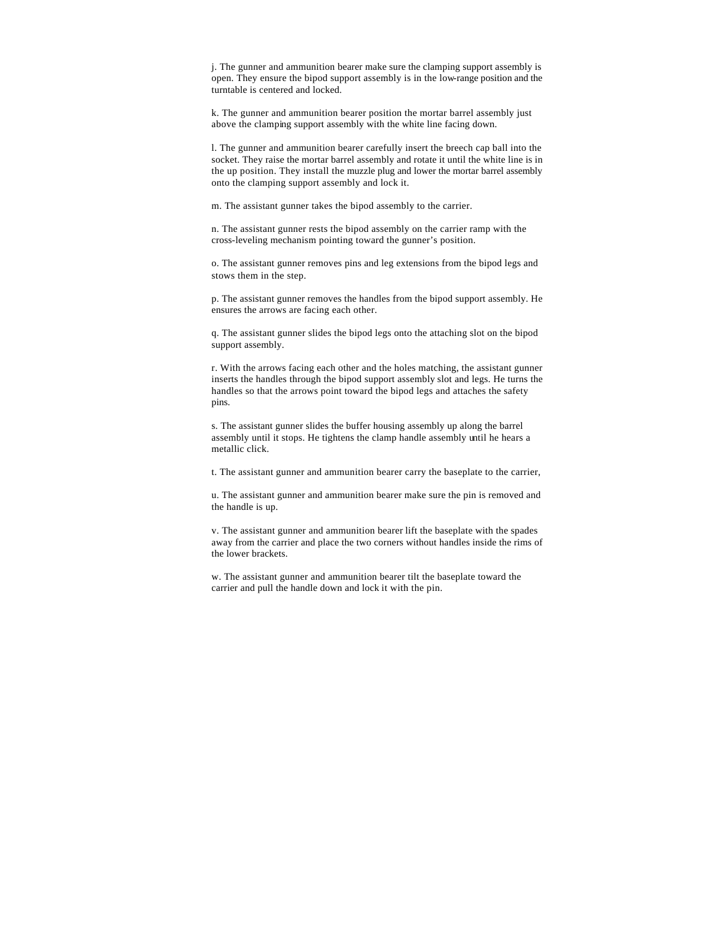j. The gunner and ammunition bearer make sure the clamping support assembly is open. They ensure the bipod support assembly is in the low-range position and the turntable is centered and locked.

k. The gunner and ammunition bearer position the mortar barrel assembly just above the clamping support assembly with the white line facing down.

l. The gunner and ammunition bearer carefully insert the breech cap ball into the socket. They raise the mortar barrel assembly and rotate it until the white line is in the up position. They install the muzzle plug and lower the mortar barrel assembly onto the clamping support assembly and lock it.

m. The assistant gunner takes the bipod assembly to the carrier.

n. The assistant gunner rests the bipod assembly on the carrier ramp with the cross-leveling mechanism pointing toward the gunner's position.

o. The assistant gunner removes pins and leg extensions from the bipod legs and stows them in the step.

p. The assistant gunner removes the handles from the bipod support assembly. He ensures the arrows are facing each other.

q. The assistant gunner slides the bipod legs onto the attaching slot on the bipod support assembly.

r. With the arrows facing each other and the holes matching, the assistant gunner inserts the handles through the bipod support assembly slot and legs. He turns the handles so that the arrows point toward the bipod legs and attaches the safety pins.

s. The assistant gunner slides the buffer housing assembly up along the barrel assembly until it stops. He tightens the clamp handle assembly until he hears a metallic click.

t. The assistant gunner and ammunition bearer carry the baseplate to the carrier,

u. The assistant gunner and ammunition bearer make sure the pin is removed and the handle is up.

v. The assistant gunner and ammunition bearer lift the baseplate with the spades away from the carrier and place the two corners without handles inside the rims of the lower brackets.

w. The assistant gunner and ammunition bearer tilt the baseplate toward the carrier and pull the handle down and lock it with the pin.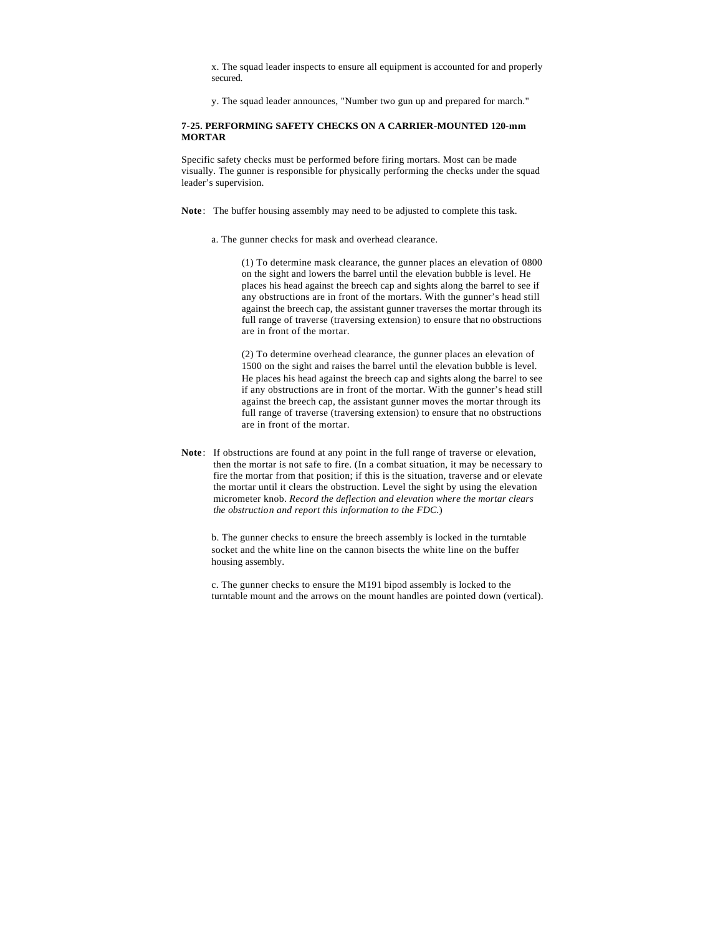x. The squad leader inspects to ensure all equipment is accounted for and properly secured.

y. The squad leader announces, "Number two gun up and prepared for march."

### **7-25. PERFORMING SAFETY CHECKS ON A CARRIER-MOUNTED 120-mm MORTAR**

Specific safety checks must be performed before firing mortars. Most can be made visually. The gunner is responsible for physically performing the checks under the squad leader's supervision.

- **Note**: The buffer housing assembly may need to be adjusted to complete this task.
	- a. The gunner checks for mask and overhead clearance.

(1) To determine mask clearance, the gunner places an elevation of 0800 on the sight and lowers the barrel until the elevation bubble is level. He places his head against the breech cap and sights along the barrel to see if any obstructions are in front of the mortars. With the gunner's head still against the breech cap, the assistant gunner traverses the mortar through its full range of traverse (traversing extension) to ensure that no obstructions are in front of the mortar.

(2) To determine overhead clearance, the gunner places an elevation of 1500 on the sight and raises the barrel until the elevation bubble is level. He places his head against the breech cap and sights along the barrel to see if any obstructions are in front of the mortar. With the gunner's head still against the breech cap, the assistant gunner moves the mortar through its full range of traverse (traversing extension) to ensure that no obstructions are in front of the mortar.

**Note**: If obstructions are found at any point in the full range of traverse or elevation, then the mortar is not safe to fire. (In a combat situation, it may be necessary to fire the mortar from that position; if this is the situation, traverse and or elevate the mortar until it clears the obstruction. Level the sight by using the elevation micrometer knob. *Record the deflection and elevation where the mortar clears the obstruction and report this information to the FDC*.)

b. The gunner checks to ensure the breech assembly is locked in the turntable socket and the white line on the cannon bisects the white line on the buffer housing assembly.

c. The gunner checks to ensure the M191 bipod assembly is locked to the turntable mount and the arrows on the mount handles are pointed down (vertical).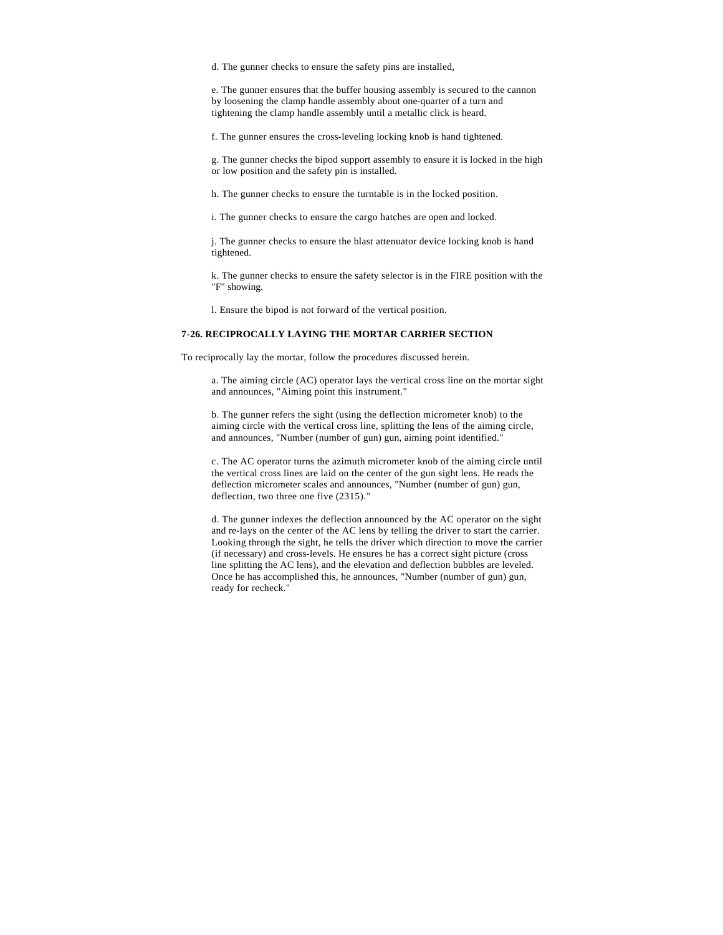d. The gunner checks to ensure the safety pins are installed,

e. The gunner ensures that the buffer housing assembly is secured to the cannon by loosening the clamp handle assembly about one-quarter of a turn and tightening the clamp handle assembly until a metallic click is heard.

f. The gunner ensures the cross-leveling locking knob is hand tightened.

g. The gunner checks the bipod support assembly to ensure it is locked in the high or low position and the safety pin is installed.

h. The gunner checks to ensure the turntable is in the locked position.

i. The gunner checks to ensure the cargo hatches are open and locked.

j. The gunner checks to ensure the blast attenuator device locking knob is hand tightened.

k. The gunner checks to ensure the safety selector is in the FIRE position with the "F" showing.

l. Ensure the bipod is not forward of the vertical position.

### **7-26. RECIPROCALLY LAYING THE MORTAR CARRIER SECTION**

To reciprocally lay the mortar, follow the procedures discussed herein.

a. The aiming circle (AC) operator lays the vertical cross line on the mortar sight and announces, "Aiming point this instrument."

b. The gunner refers the sight (using the deflection micrometer knob) to the aiming circle with the vertical cross line, splitting the lens of the aiming circle, and announces, "Number (number of gun) gun, aiming point identified."

c. The AC operator turns the azimuth micrometer knob of the aiming circle until the vertical cross lines are laid on the center of the gun sight lens. He reads the deflection micrometer scales and announces, "Number (number of gun) gun, deflection, two three one five (2315)."

d. The gunner indexes the deflection announced by the AC operator on the sight and re-lays on the center of the AC lens by telling the driver to start the carrier. Looking through the sight, he tells the driver which direction to move the carrier (if necessary) and cross-levels. He ensures he has a correct sight picture (cross line splitting the AC lens), and the elevation and deflection bubbles are leveled. Once he has accomplished this, he announces, "Number (number of gun) gun, ready for recheck."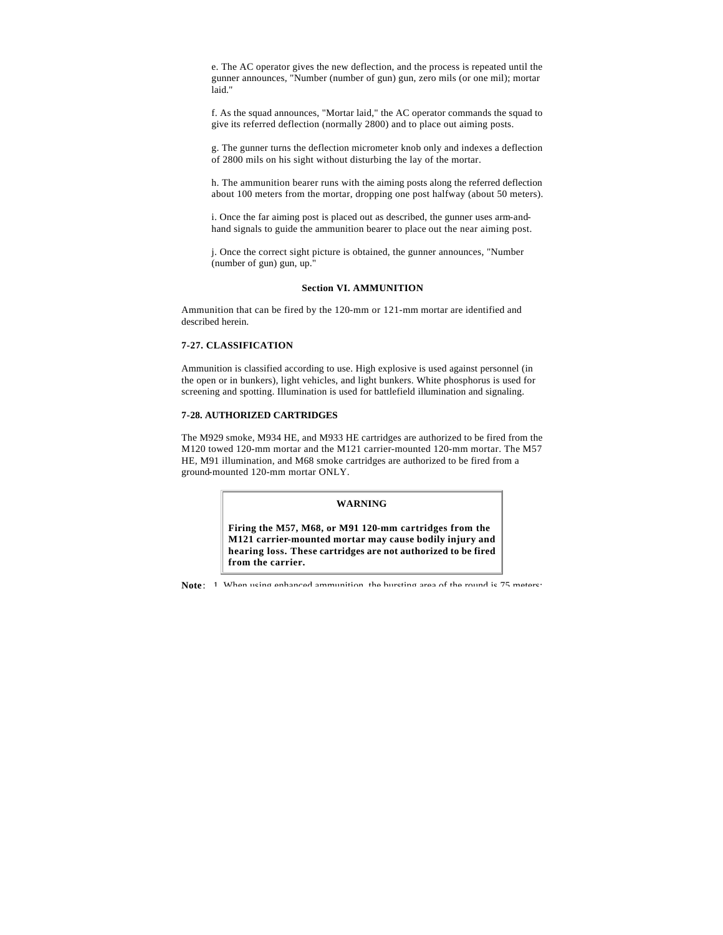e. The AC operator gives the new deflection, and the process is repeated until the gunner announces, "Number (number of gun) gun, zero mils (or one mil); mortar laid."

f. As the squad announces, "Mortar laid," the AC operator commands the squad to give its referred deflection (normally 2800) and to place out aiming posts.

g. The gunner turns the deflection micrometer knob only and indexes a deflection of 2800 mils on his sight without disturbing the lay of the mortar.

h. The ammunition bearer runs with the aiming posts along the referred deflection about 100 meters from the mortar, dropping one post halfway (about 50 meters).

i. Once the far aiming post is placed out as described, the gunner uses arm-andhand signals to guide the ammunition bearer to place out the near aiming post.

j. Once the correct sight picture is obtained, the gunner announces, "Number (number of gun) gun, up."

### **Section VI. AMMUNITION**

Ammunition that can be fired by the 120-mm or 121-mm mortar are identified and described herein.

#### **7-27. CLASSIFICATION**

Ammunition is classified according to use. High explosive is used against personnel (in the open or in bunkers), light vehicles, and light bunkers. White phosphorus is used for screening and spotting. Illumination is used for battlefield illumination and signaling.

## **7-28. AUTHORIZED CARTRIDGES**

The M929 smoke, M934 HE, and M933 HE cartridges are authorized to be fired from the M120 towed 120-mm mortar and the M121 carrier-mounted 120-mm mortar. The M57 HE, M91 illumination, and M68 smoke cartridges are authorized to be fired from a ground-mounted 120-mm mortar ONLY.

#### **WARNING**

**Firing the M57, M68, or M91 120-mm cartridges from the M121 carrier-mounted mortar may cause bodily injury and hearing loss. These cartridges are not authorized to be fired from the carrier.**

**Note**: 1. When using enhanced ammunition, the bursting area of the round is 75 meters;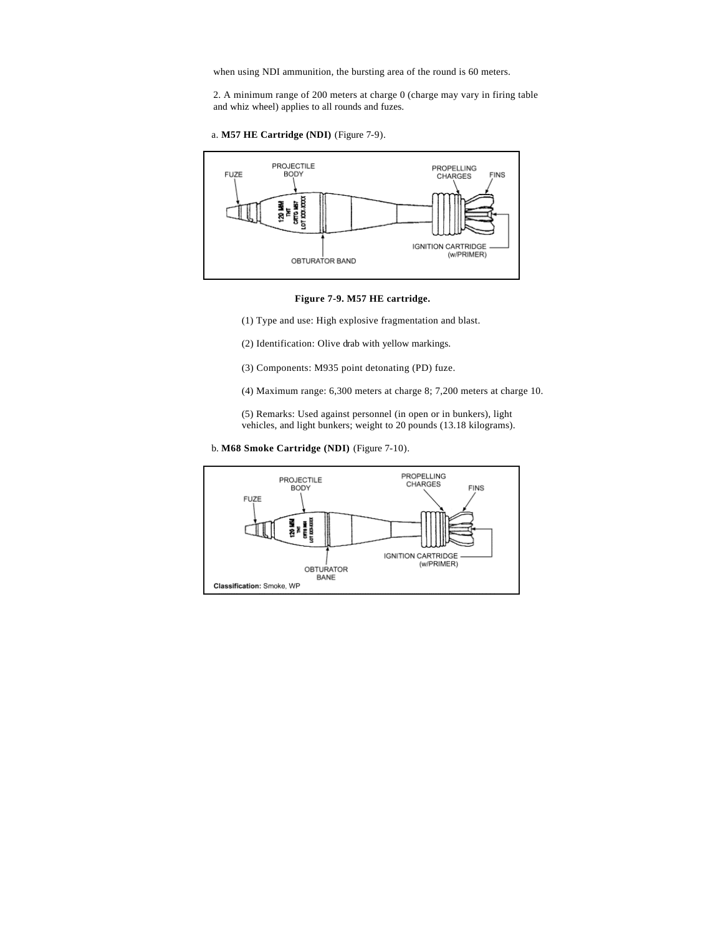when using NDI ammunition, the bursting area of the round is 60 meters.

2. A minimum range of 200 meters at charge 0 (charge may vary in firing table and whiz wheel) applies to all rounds and fuzes.

a. **M57 HE Cartridge (NDI)** (Figure 7-9).



**Figure 7-9. M57 HE cartridge.**

(1) Type and use: High explosive fragmentation and blast.

(2) Identification: Olive drab with yellow markings.

(3) Components: M935 point detonating (PD) fuze.

(4) Maximum range: 6,300 meters at charge 8; 7,200 meters at charge 10.

(5) Remarks: Used against personnel (in open or in bunkers), light vehicles, and light bunkers; weight to 20 pounds (13.18 kilograms).

b. **M68 Smoke Cartridge (NDI)** (Figure 7-10).

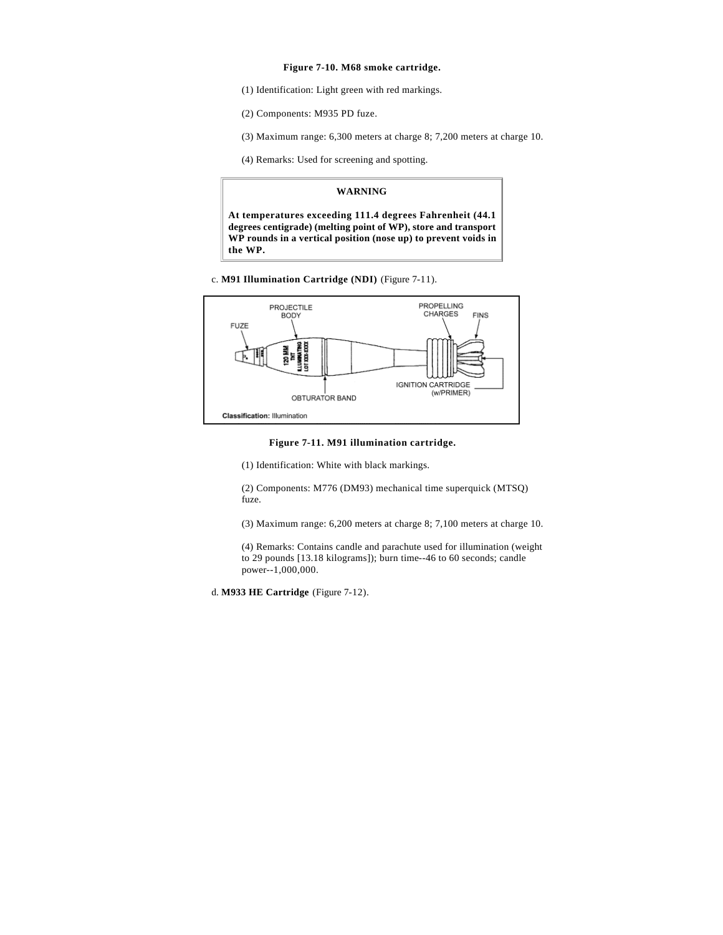### **Figure 7-10. M68 smoke cartridge.**

- (1) Identification: Light green with red markings.
- (2) Components: M935 PD fuze.
- (3) Maximum range: 6,300 meters at charge 8; 7,200 meters at charge 10.
- (4) Remarks: Used for screening and spotting.

#### **WARNING**

**At temperatures exceeding 111.4 degrees Fahrenheit (44.1 degrees centigrade) (melting point of WP), store and transport WP rounds in a vertical position (nose up) to prevent voids in the WP.**

c. **M91 Illumination Cartridge (NDI)** (Figure 7-11).



**Figure 7-11. M91 illumination cartridge.**

(1) Identification: White with black markings.

(2) Components: M776 (DM93) mechanical time superquick (MTSQ) fuze.

(3) Maximum range: 6,200 meters at charge 8; 7,100 meters at charge 10.

(4) Remarks: Contains candle and parachute used for illumination (weight to 29 pounds [13.18 kilograms]); burn time--46 to 60 seconds; candle power--1,000,000.

d. **M933 HE Cartridge** (Figure 7-12).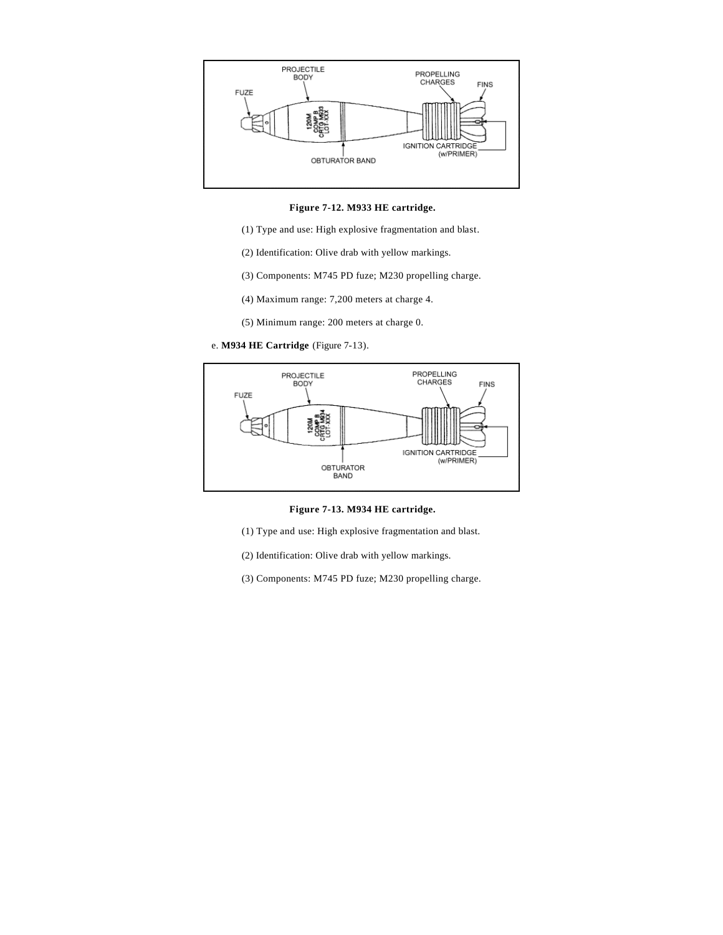

**Figure 7-12. M933 HE cartridge.**

- (1) Type and use: High explosive fragmentation and blast.
- (2) Identification: Olive drab with yellow markings.
- (3) Components: M745 PD fuze; M230 propelling charge.
- (4) Maximum range: 7,200 meters at charge 4.
- (5) Minimum range: 200 meters at charge 0.
- e. **M934 HE Cartridge** (Figure 7-13).



**Figure 7-13. M934 HE cartridge.**

- (1) Type and use: High explosive fragmentation and blast.
- (2) Identification: Olive drab with yellow markings.
- (3) Components: M745 PD fuze; M230 propelling charge.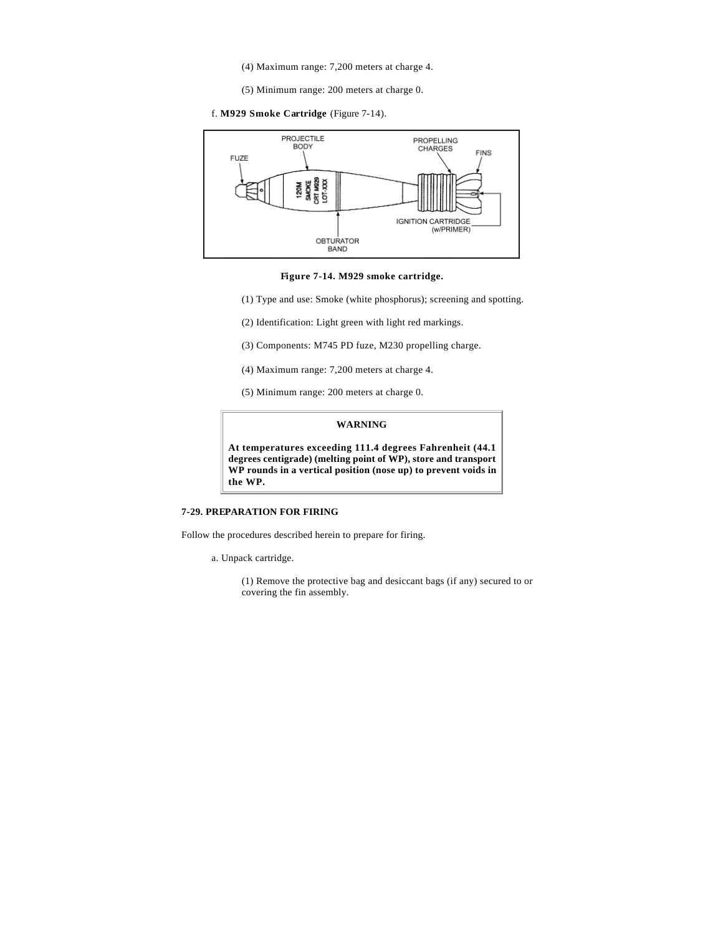- (4) Maximum range: 7,200 meters at charge 4.
- (5) Minimum range: 200 meters at charge 0.
- f. **M929 Smoke Cartridge** (Figure 7-14).



**Figure 7-14. M929 smoke cartridge.**

- (1) Type and use: Smoke (white phosphorus); screening and spotting.
- (2) Identification: Light green with light red markings.
- (3) Components: M745 PD fuze, M230 propelling charge.
- (4) Maximum range: 7,200 meters at charge 4.
- (5) Minimum range: 200 meters at charge 0.

#### **WARNING**

**At temperatures exceeding 111.4 degrees Fahrenheit (44.1 degrees centigrade) (melting point of WP), store and transport WP rounds in a vertical position (nose up) to prevent voids in the WP.**

## **7-29. PREPARATION FOR FIRING**

Follow the procedures described herein to prepare for firing.

a. Unpack cartridge.

(1) Remove the protective bag and desiccant bags (if any) secured to or covering the fin assembly.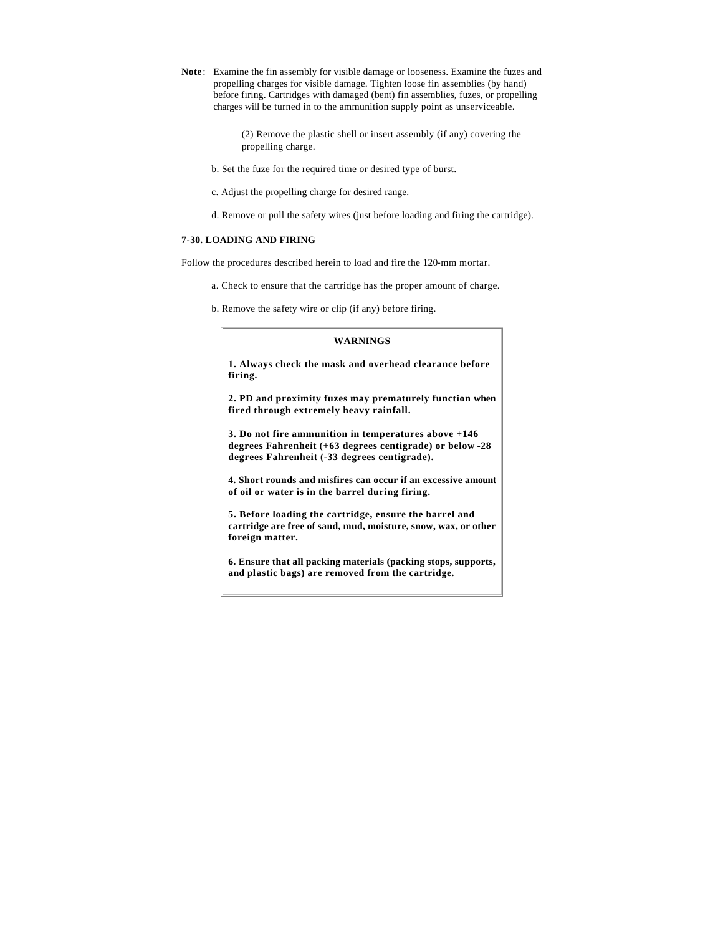**Note**: Examine the fin assembly for visible damage or looseness. Examine the fuzes and propelling charges for visible damage. Tighten loose fin assemblies (by hand) before firing. Cartridges with damaged (bent) fin assemblies, fuzes, or propelling charges will be turned in to the ammunition supply point as unserviceable.

> (2) Remove the plastic shell or insert assembly (if any) covering the propelling charge.

b. Set the fuze for the required time or desired type of burst.

- c. Adjust the propelling charge for desired range.
- d. Remove or pull the safety wires (just before loading and firing the cartridge).

## **7-30. LOADING AND FIRING**

Follow the procedures described herein to load and fire the 120-mm mortar.

- a. Check to ensure that the cartridge has the proper amount of charge.
- b. Remove the safety wire or clip (if any) before firing.

## **WARNINGS**

**1. Always check the mask and overhead clearance before firing.**

**2. PD and proximity fuzes may prematurely function when fired through extremely heavy rainfall.**

**3. Do not fire ammunition in temperatures above +146 degrees Fahrenheit (+63 degrees centigrade) or below -28 degrees Fahrenheit (-33 degrees centigrade).**

**4. Short rounds and misfires can occur if an excessive amount of oil or water is in the barrel during firing.**

**5. Before loading the cartridge, ensure the barrel and cartridge are free of sand, mud, moisture, snow, wax, or other foreign matter.**

**6. Ensure that all packing materials (packing stops, supports, and plastic bags) are removed from the cartridge.**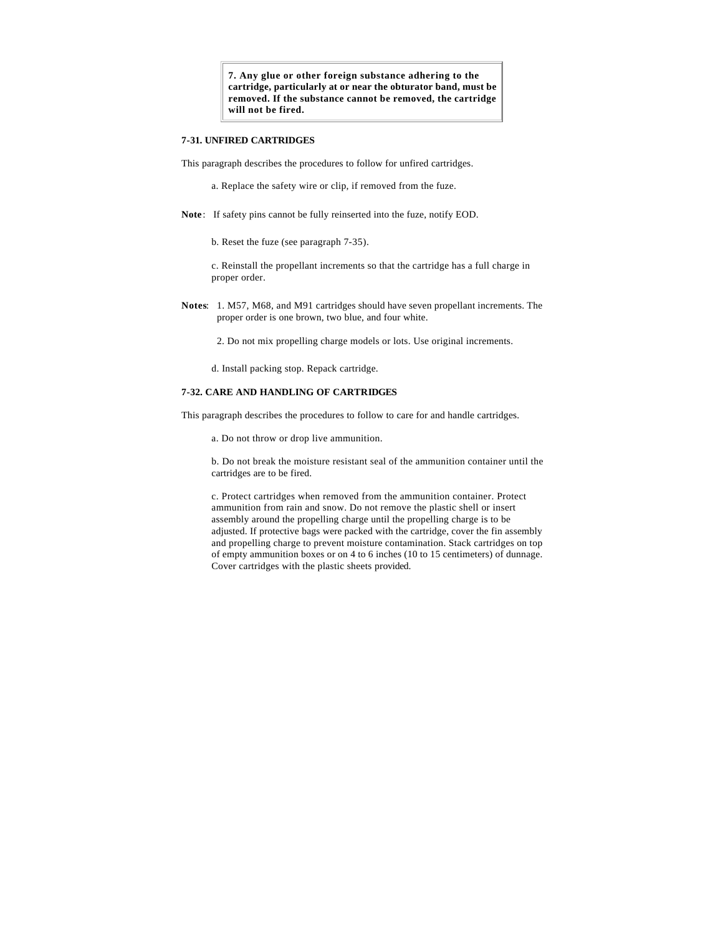**7. Any glue or other foreign substance adhering to the cartridge, particularly at or near the obturator band, must be removed. If the substance cannot be removed, the cartridge will not be fired.**

## **7-31. UNFIRED CARTRIDGES**

This paragraph describes the procedures to follow for unfired cartridges.

- a. Replace the safety wire or clip, if removed from the fuze.
- **Note**: If safety pins cannot be fully reinserted into the fuze, notify EOD.
	- b. Reset the fuze (see paragraph 7-35).

c. Reinstall the propellant increments so that the cartridge has a full charge in proper order.

**Notes**: 1. M57, M68, and M91 cartridges should have seven propellant increments. The proper order is one brown, two blue, and four white.

2. Do not mix propelling charge models or lots. Use original increments.

d. Install packing stop. Repack cartridge.

#### **7-32. CARE AND HANDLING OF CARTRIDGES**

This paragraph describes the procedures to follow to care for and handle cartridges.

a. Do not throw or drop live ammunition.

b. Do not break the moisture resistant seal of the ammunition container until the cartridges are to be fired.

c. Protect cartridges when removed from the ammunition container. Protect ammunition from rain and snow. Do not remove the plastic shell or insert assembly around the propelling charge until the propelling charge is to be adjusted. If protective bags were packed with the cartridge, cover the fin assembly and propelling charge to prevent moisture contamination. Stack cartridges on top of empty ammunition boxes or on 4 to 6 inches (10 to 15 centimeters) of dunnage. Cover cartridges with the plastic sheets provided.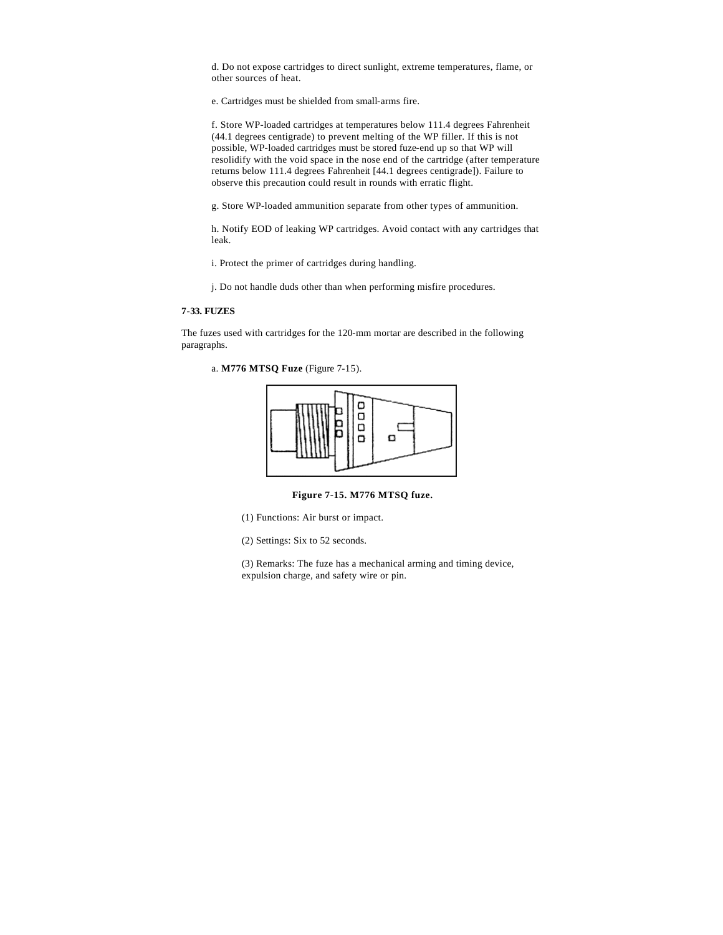d. Do not expose cartridges to direct sunlight, extreme temperatures, flame, or other sources of heat.

e. Cartridges must be shielded from small-arms fire.

f. Store WP-loaded cartridges at temperatures below 111.4 degrees Fahrenheit (44.1 degrees centigrade) to prevent melting of the WP filler. If this is not possible, WP-loaded cartridges must be stored fuze-end up so that WP will resolidify with the void space in the nose end of the cartridge (after temperature returns below 111.4 degrees Fahrenheit [44.1 degrees centigrade]). Failure to observe this precaution could result in rounds with erratic flight.

g. Store WP-loaded ammunition separate from other types of ammunition.

h. Notify EOD of leaking WP cartridges. Avoid contact with any cartridges that leak.

i. Protect the primer of cartridges during handling.

j. Do not handle duds other than when performing misfire procedures.

## **7-33. FUZES**

The fuzes used with cartridges for the 120-mm mortar are described in the following paragraphs.

a. **M776 MTSQ Fuze** (Figure 7-15).



**Figure 7-15. M776 MTSQ fuze.**

(1) Functions: Air burst or impact.

(2) Settings: Six to 52 seconds.

(3) Remarks: The fuze has a mechanical arming and timing device, expulsion charge, and safety wire or pin.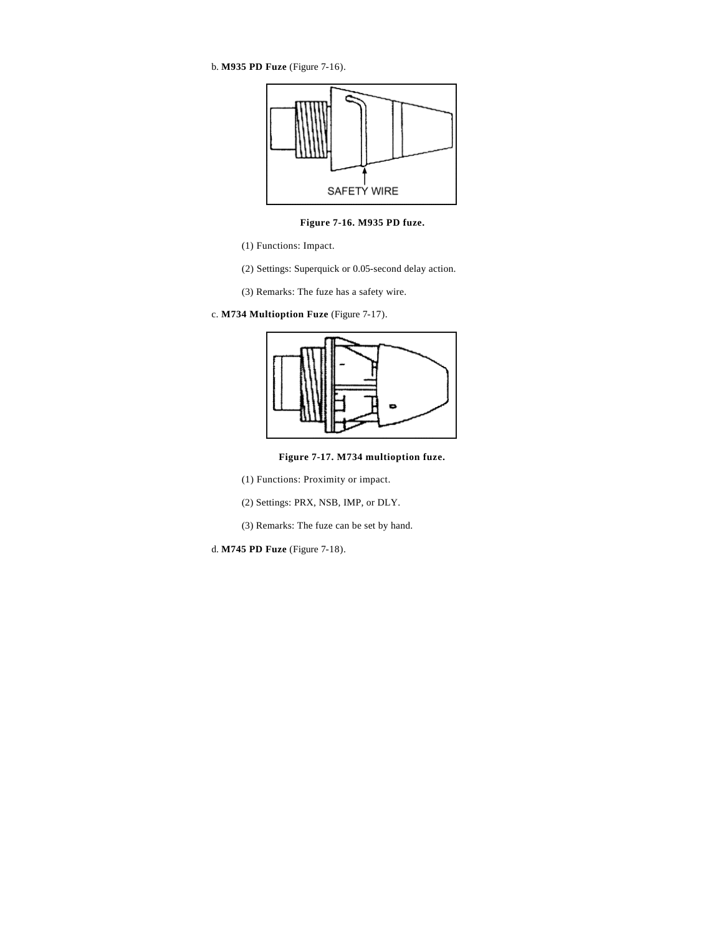b. **M935 PD Fuze** (Figure 7-16).



**Figure 7-16. M935 PD fuze.**

- (1) Functions: Impact.
- (2) Settings: Superquick or 0.05-second delay action.
- (3) Remarks: The fuze has a safety wire.
- c. **M734 Multioption Fuze** (Figure 7-17).



**Figure 7-17. M734 multioption fuze.**

(1) Functions: Proximity or impact.

(2) Settings: PRX, NSB, IMP, or DLY.

(3) Remarks: The fuze can be set by hand.

d. **M745 PD Fuze** (Figure 7-18).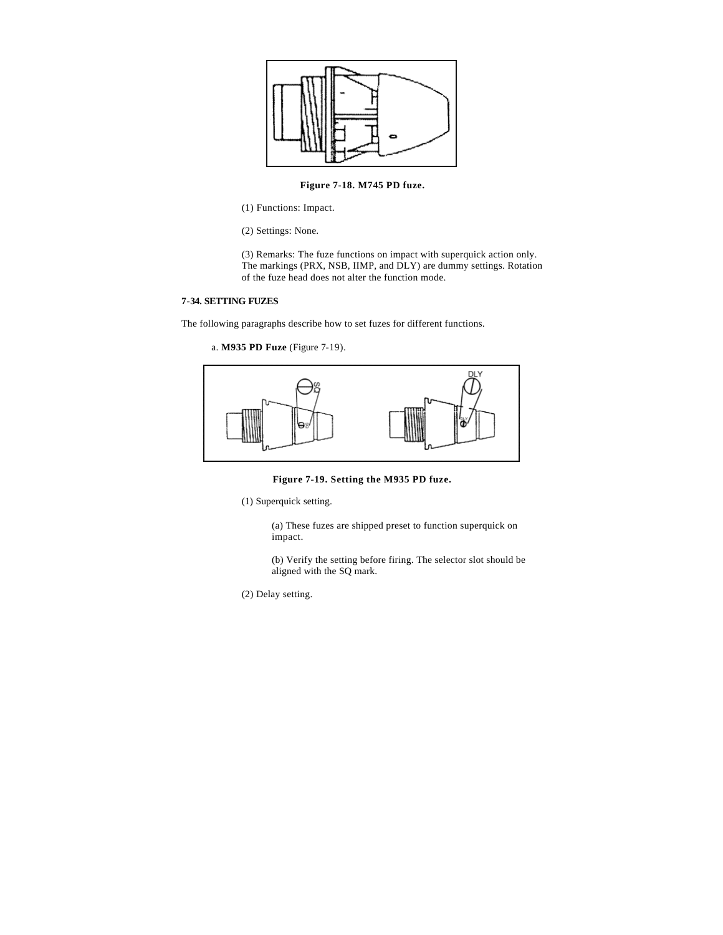

## **Figure 7-18. M745 PD fuze.**

(1) Functions: Impact.

(2) Settings: None.

(3) Remarks: The fuze functions on impact with superquick action only. The markings (PRX, NSB, IIMP, and DLY) are dummy settings. Rotation of the fuze head does not alter the function mode.

## **7-34. SETTING FUZES**

The following paragraphs describe how to set fuzes for different functions.

```
a. M935 PD Fuze (Figure 7-19).
```


**Figure 7-19. Setting the M935 PD fuze.**

(1) Superquick setting.

(a) These fuzes are shipped preset to function superquick on impact.

(b) Verify the setting before firing. The selector slot should be aligned with the SQ mark.

(2) Delay setting.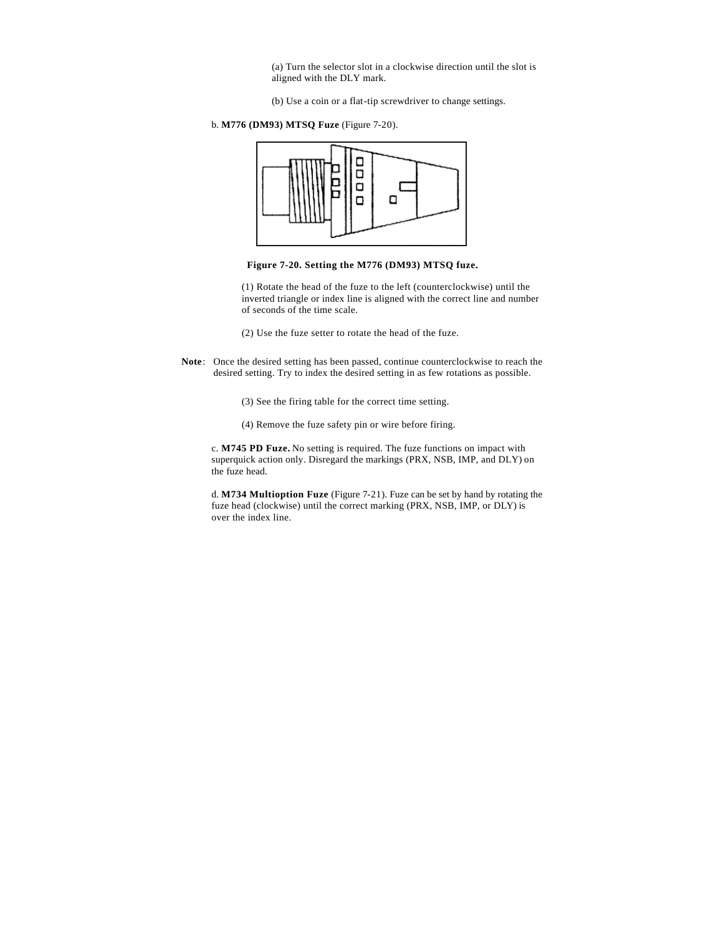(a) Turn the selector slot in a clockwise direction until the slot is aligned with the DLY mark.

- (b) Use a coin or a flat-tip screwdriver to change settings.
- b. **M776 (DM93) MTSQ Fuze** (Figure 7-20).





(1) Rotate the head of the fuze to the left (counterclockwise) until the inverted triangle or index line is aligned with the correct line and number of seconds of the time scale.

- (2) Use the fuze setter to rotate the head of the fuze.
- **Note**: Once the desired setting has been passed, continue counterclockwise to reach the desired setting. Try to index the desired setting in as few rotations as possible.
	- (3) See the firing table for the correct time setting.
	- (4) Remove the fuze safety pin or wire before firing.

c. **M745 PD Fuze.** No setting is required. The fuze functions on impact with superquick action only. Disregard the markings (PRX, NSB, IMP, and DLY) on the fuze head.

d. **M734 Multioption Fuze** (Figure 7-21). Fuze can be set by hand by rotating the fuze head (clockwise) until the correct marking (PRX, NSB, IMP, or DLY) is over the index line.